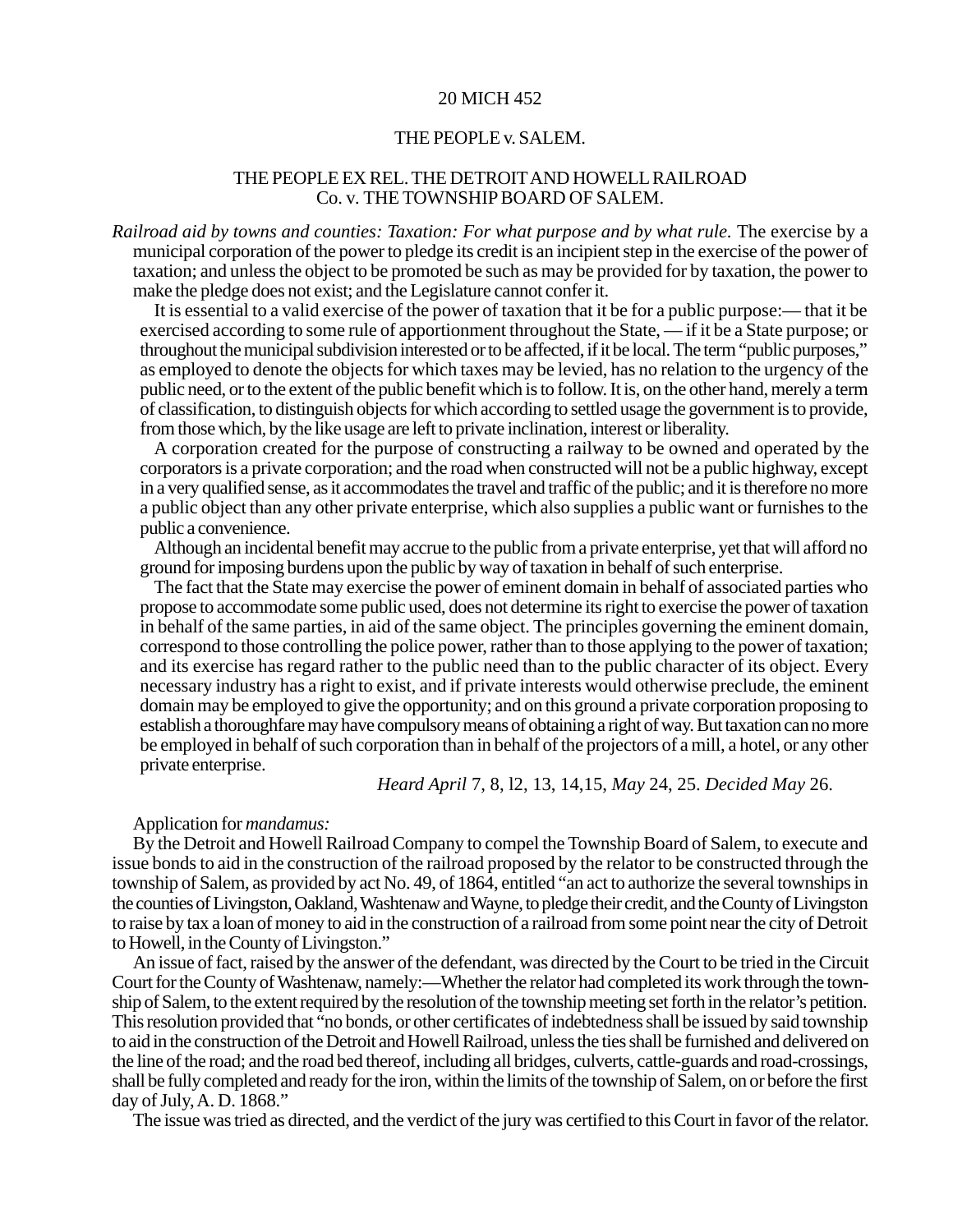### 20 MICH 452

# THE PEOPLE v. SALEM.

# THE PEOPLE EX REL. THE DETROIT AND HOWELL RAILROAD Co. v*.* THE TOWNSHIP BOARD OF SALEM.

*Railroad aid by towns and counties: Taxation: For what purpose and by what rule.* The exercise by a municipal corporation of the power to pledge its credit is an incipient step in the exercise of the power of taxation; and unless the object to be promoted be such as may be provided for by taxation, the power to make the pledge does not exist; and the Legislature cannot confer it.

It is essential to a valid exercise of the power of taxation that it be for a public purpose:— that it be exercised according to some rule of apportionment throughout the State, — if it be a State purpose; or throughout the municipal subdivision interested or to be affected, if it be local. The term "public purposes," as employed to denote the objects for which taxes may be levied, has no relation to the urgency of the public need, or to the extent of the public benefit which is to follow. It is, on the other hand, merely a term of classification, to distinguish objects for which according to settled usage the government is to provide, from those which, by the like usage are left to private inclination, interest or liberality.

A corporation created for the purpose of constructing a railway to be owned and operated by the corporators is a private corporation; and the road when constructed will not be a public highway, except in a very qualified sense, as it accommodates the travel and traffic of the public; and it is therefore no more a public object than any other private enterprise, which also supplies a public want or furnishes to the public a convenience.

Although an incidental benefit may accrue to the public from a private enterprise, yet that will afford no ground for imposing burdens upon the public by way of taxation in behalf of such enterprise.

The fact that the State may exercise the power of eminent domain in behalf of associated parties who propose to accommodate some public used, does not determine its right to exercise the power of taxation in behalf of the same parties, in aid of the same object. The principles governing the eminent domain, correspond to those controlling the police power, rather than to those applying to the power of taxation; and its exercise has regard rather to the public need than to the public character of its object. Every necessary industry has a right to exist, and if private interests would otherwise preclude, the eminent domain may be employed to give the opportunity; and on this ground a private corporation proposing to establish a thoroughfare may have compulsory means of obtaining a right of way. But taxation can no more be employed in behalf of such corporation than in behalf of the projectors of a mill, a hotel, or any other private enterprise.

 *Heard April* 7, 8, l2, 13, 14,15, *May* 24, 25. *Decided May* 26.

Application for *mandamus:*

By the Detroit and Howell Railroad Company to compel the Township Board of Salem, to execute and issue bonds to aid in the construction of the railroad proposed by the relator to be constructed through the township of Salem, as provided by act No. 49, of 1864, entitled "an act to authorize the several townships in the counties of Livingston, Oakland, Washtenaw and Wayne, to pledge their credit, and the County of Livingston to raise by tax a loan of money to aid in the construction of a railroad from some point near the city of Detroit to Howell, in the County of Livingston."

An issue of fact, raised by the answer of the defendant, was directed by the Court to be tried in the Circuit Court for the County of Washtenaw, namely:—Whether the relator had completed its work through the township of Salem, to the extent required by the resolution of the township meeting set forth in the relator's petition. This resolution provided that "no bonds, or other certificates of indebtedness shall be issued by said township to aid in the construction of the Detroit and Howell Railroad, unless the ties shall be furnished and delivered on the line of the road; and the road bed thereof, including all bridges, culverts, cattle-guards and road-crossings, shall be fully completed and ready for the iron, within the limits of the township of Salem, on or before the first day of July, A. D. 1868."

The issue was tried as directed, and the verdict of the jury was certified to this Court in favor of the relator.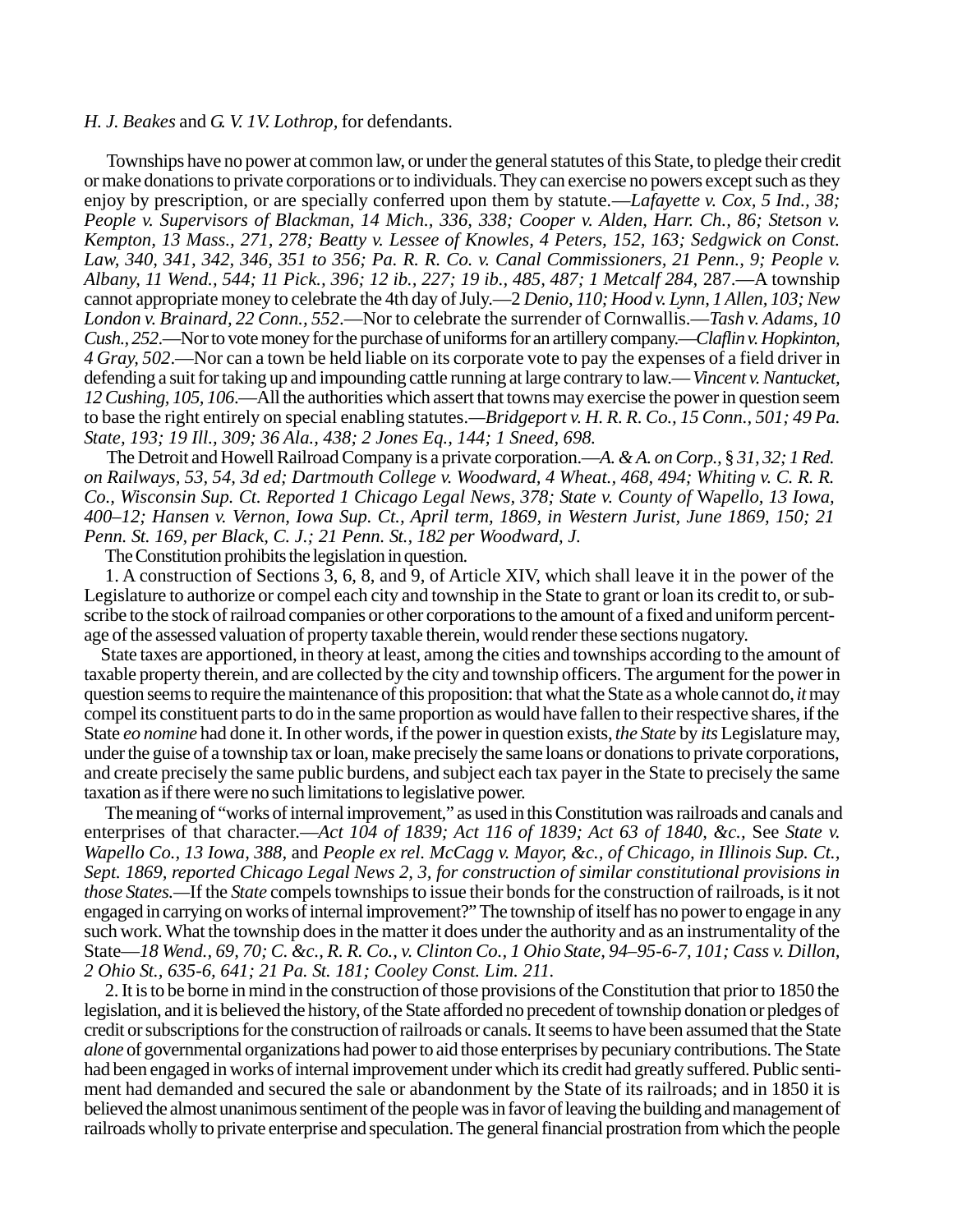### *H. J. Beakes* and *G. V. 1V. Lothrop,* for defendants.

Townships have no power at common law, or under the general statutes of this State, to pledge their credit or make donations to private corporations or to individuals. They can exercise no powers except such as they enjoy by prescription, or are specially conferred upon them by statute*.*—*Lafayette v. Cox, 5 Ind., 38; People v. Supervisors of Blackman, 14 Mich., 336, 338; Cooper v. Alden, Harr. Ch., 86; Stetson v. Kempton, 13 Mass., 271, 278; Beatty v. Lessee of Knowles, 4 Peters, 152, 163; Sedgwick on Const. Law, 340, 341, 342, 346, 351 to 356; Pa. R. R. Co. v. Canal Commissioners, 21 Penn., 9; People v. Albany, 11 Wend., 544; 11 Pick., 396; 12 ib., 227; 19 ib., 485, 487; 1 Metcalf 284,* 287.—A township cannot appropriate money to celebrate the 4th day of July.—2 *Denio, 110; Hood v. Lynn, 1 Allen, 103; New London v. Brainard, 22 Conn., 552*.—Nor to celebrate the surrender of Cornwallis.—*Tash v. Adams, 10 Cush., 252*.—Nor to vote money for the purchase of uniforms for an artillery company.—*Claflin v. Hopkinton, 4 Gray, 502*.—Nor can a town be held liable on its corporate vote to pay the expenses of a field driver in defending a suit for taking up and impounding cattle running at large contrary to law.— *Vincent v. Nantucket, 12 Cushing, 105, 106*.—All the authorities which assert that towns may exercise the power in question seem to base the right entirely on special enabling statutes*.—Bridgeport v. H. R. R. Co., 15 Conn., 501; 49 Pa. State, 193; 19 Ill., 309; 36 Ala., 438; 2 Jones Eq., 144; 1 Sneed, 698.*

The Detroit and Howell Railroad Company is a private corporation.—*A. & A. on Corp.,* § *31, 32; 1 Red. on Railways, 53, 54, 3d ed; Dartmouth College v. Woodward, 4 Wheat., 468, 494; Whiting v. C. R. R. Co., Wisconsin Sup. Ct. Reported 1 Chicago Legal News, 378; State v. County of* Wa*pello, 13 Iowa, 400–12; Hansen v. Vernon, Iowa Sup. Ct., April term, 1869, in Western Jurist, June 1869, 150; 21 Penn. St. 169, per Black, C. J.; 21 Penn. St., 182 per Woodward, J.*

The Constitution prohibits the legislation in question.

1. A construction of Sections 3, 6, 8, and 9, of Article XIV, which shall leave it in the power of the Legislature to authorize or compel each city and township in the State to grant or loan its credit to, or subscribe to the stock of railroad companies or other corporations to the amount of a fixed and uniform percentage of the assessed valuation of property taxable therein, would render these sections nugatory.

State taxes are apportioned, in theory at least, among the cities and townships according to the amount of taxable property therein, and are collected by the city and township officers. The argument for the power in question seems to require the maintenance of this proposition: that what the State as a whole cannot do, *it* may compel its constituent parts to do in the same proportion as would have fallen to their respective shares, if the State *eo nomine* had done it. In other words, if the power in question exists, *the State* by *its* Legislature may, under the guise of a township tax or loan, make precisely the same loans or donations to private corporations, and create precisely the same public burdens, and subject each tax payer in the State to precisely the same taxation as if there were no such limitations to legislative power.

The meaning of "works of internal improvement," as used in this Constitution was railroads and canals and enterprises of that character.—*Act 104 of 1839; Act 116 of 1839; Act 63 of 1840, &c.,* See *State v. Wapello Co., 13 Iowa, 388,* and *People ex rel. McCagg v. Mayor, &c., of Chicago, in Illinois Sup. Ct., Sept. 1869, reported Chicago Legal News 2, 3, for construction of similar constitutional provisions in those States.—*If the *State* compels townships to issue their bonds for the construction of railroads, is it not engaged in carrying on works of internal improvement?" The township of itself has no power to engage in any such work. What the township does in the matter it does under the authority and as an instrumentality of the State—*18 Wend., 69, 70; C. &c., R. R. Co., v. Clinton Co., 1 Ohio State, 94–95-6-7, 101; Cass v. Dillon, 2 Ohio St., 635-6, 641; 21 Pa. St. 181; Cooley Const. Lim. 211.*

2. It is to be borne in mind in the construction of those provisions of the Constitution that prior to 1850 the legislation, and it is believed the history, of the State afforded no precedent of township donation or pledges of credit or subscriptions for the construction of railroads or canals. It seems to have been assumed that the State *alone* of governmental organizations had power to aid those enterprises by pecuniary contributions. The State had been engaged in works of internal improvement under which its credit had greatly suffered. Public sentiment had demanded and secured the sale or abandonment by the State of its railroads; and in 1850 it is believed the almost unanimous sentiment of the people was in favor of leaving the building and management of railroads wholly to private enterprise and speculation. The general financial prostration from which the people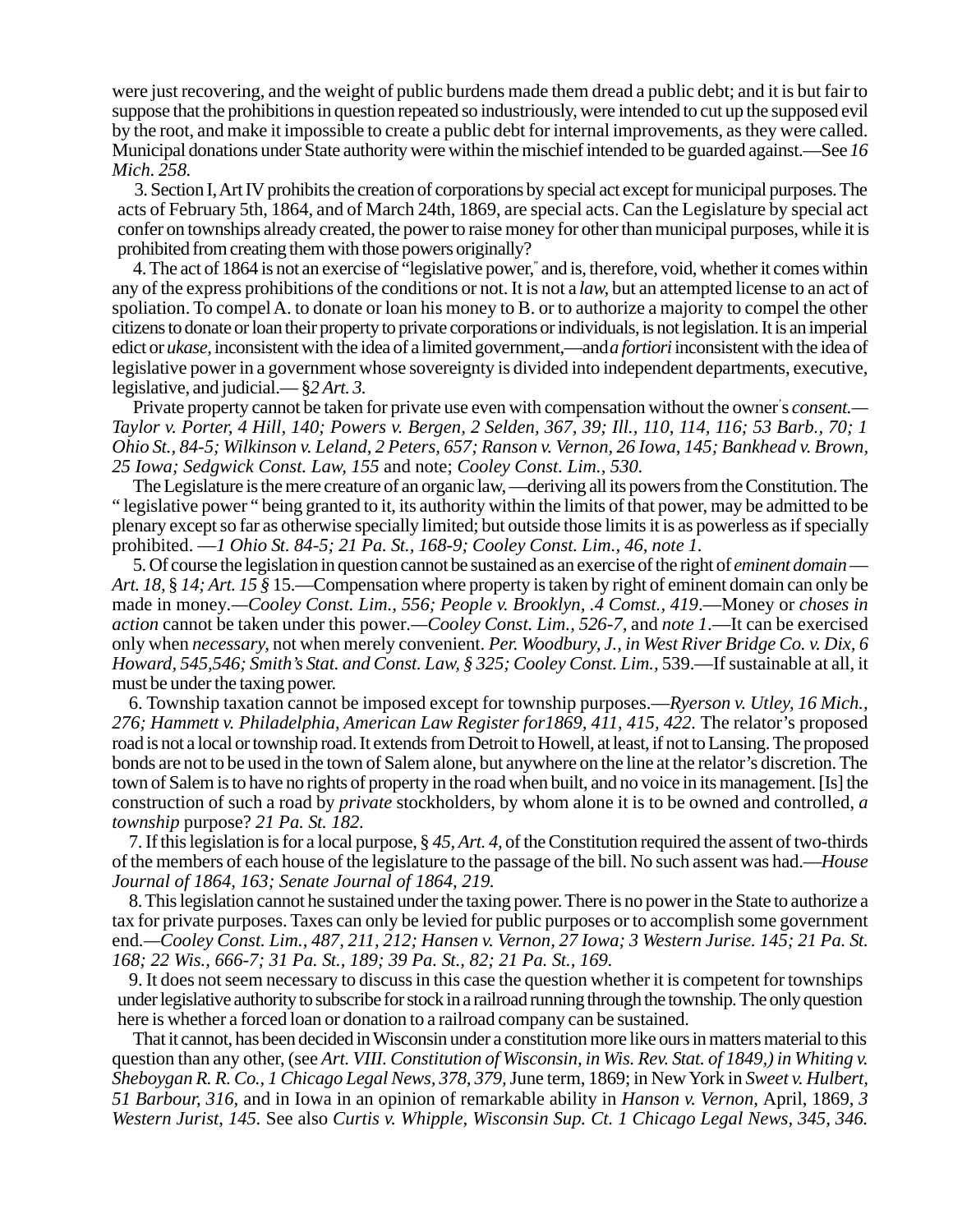were just recovering, and the weight of public burdens made them dread a public debt; and it is but fair to suppose that the prohibitions in question repeated so industriously, were intended to cut up the supposed evil by the root, and make it impossible to create a public debt for internal improvements, as they were called. Municipal donations under State authority were within the mischief intended to be guarded against.—See *16 Mich. 258.*

3. Section I, Art IV prohibits the creation of corporations by special act except for municipal purposes. The acts of February 5th, 1864, and of March 24th, 1869, are special acts. Can the Legislature by special act confer on townships already created, the power to raise money for other than municipal purposes, while it is prohibited from creating them with those powers originally?

4. The act of 1864 is not an exercise of "legislative power," and is, therefore, void, whether it comes within any of the express prohibitions of the conditions or not. It is not a *law,* but an attempted license to an act of spoliation. To compel A. to donate or loan his money to B. or to authorize a majority to compel the other citizens to donate or loan their property to private corporations or individuals, is not legislation. It is an imperial edict or *ukase,* inconsistent with the idea of a limited government,—and *a fortiori* inconsistent with the idea of legislative power in a government whose sovereignty is divided into independent departments, executive, legislative, and judicial.— §*2 Art. 3.*

Private property cannot be taken for private use even with compensation without the owner' s *consent.— Taylor v. Porter, 4 Hill, 140; Powers v. Bergen, 2 Selden, 367, 39; Ill., 110, 114, 116; 53 Barb., 70; 1 Ohio St., 84-5; Wilkinson v. Leland, 2 Peters, 657; Ranson v. Vernon, 26 Iowa, 145; Bankhead v. Brown, 25 Iowa; Sedgwick Const. Law, 155* and note; *Cooley Const. Lim., 530.*

The Legislature is the mere creature of an organic law, —deriving all its powers from the Constitution. The " legislative power " being granted to it, its authority within the limits of that power, may be admitted to be plenary except so far as otherwise specially limited; but outside those limits it is as powerless as if specially prohibited. —*1 Ohio St. 84-5; 21 Pa. St., 168-9; Cooley Const. Lim., 46, note 1.*

5. Of course the legislation in question cannot be sustained as an exercise of the right of *eminent domain* — *Art. 18,* § *14; Art. 15 §* 15.—Compensation where property is taken by right of eminent domain can only be made in money*.—Cooley Const. Lim., 556; People v. Brooklyn, .4 Comst., 419*.—Money or *choses in action* cannot be taken under this power*.—Cooley Const. Lim., 526-7,* and *note 1*.—It can be exercised only when *necessary,* not when merely convenient. *Per. Woodbury, J., in West River Bridge Co. v. Dix, 6 Howard, 545,546; Smith's Stat. and Const. Law, § 325; Cooley Const. Lim., 539.—If sustainable at all, it* must be under the taxing power.

6. Township taxation cannot be imposed except for township purposes.—*Ryerson v. Utley, 16 Mich.,* 276; Hammett v. Philadelphia, American Law Register for 1869, 411, 415, 422. The relator's proposed road is not a local or township road. It extends from Detroit to Howell, at least, if not to Lansing. The proposed bonds are not to be used in the town of Salem alone, but anywhere on the line at the relator's discretion. The town of Salem is to have no rights of property in the road when built, and no voice in its management. [Is] the construction of such a road by *private* stockholders, by whom alone it is to be owned and controlled, *a township* purpose? *21 Pa. St. 182.*

7. If this legislation is for a local purpose, § *45, Art. 4,* of the Constitution required the assent of two-thirds of the members of each house of the legislature to the passage of the bill. No such assent was had.—*House Journal of 1864, 163; Senate Journal of 1864, 219.*

8. This legislation cannot he sustained under the taxing power. There is no power in the State to authorize a tax for private purposes. Taxes can only be levied for public purposes or to accomplish some government end*.—Cooley Const. Lim., 487, 211, 212; Hansen v. Vernon, 27 Iowa; 3 Western Jurise. 145; 21 Pa. St. 168; 22 Wis., 666-7; 31 Pa. St., 189; 39 Pa. St., 82; 21 Pa. St., 169.*

9. It does not seem necessary to discuss in this case the question whether it is competent for townships under legislative authority to subscribe for stock in a railroad running through the township. The only question here is whether a forced loan or donation to a railroad company can be sustained.

That it cannot, has been decided in Wisconsin under a constitution more like ours in matters material to this question than any other, (see *Art. VIII. Constitution of Wisconsin, in Wis. Rev. Stat. of 1849,) in Whiting v. Sheboygan R. R. Co., 1 Chicago Legal News, 378, 379,* June term, 1869; in New York in *Sweet v. Hulbert, 51 Barbour, 316,* and in Iowa in an opinion of remarkable ability in *Hanson v. Vernon,* April, 1869, *3 Western Jurist, 145.* See also *Curtis v. Whipple, Wisconsin Sup. Ct. 1 Chicago Legal News, 345, 346.*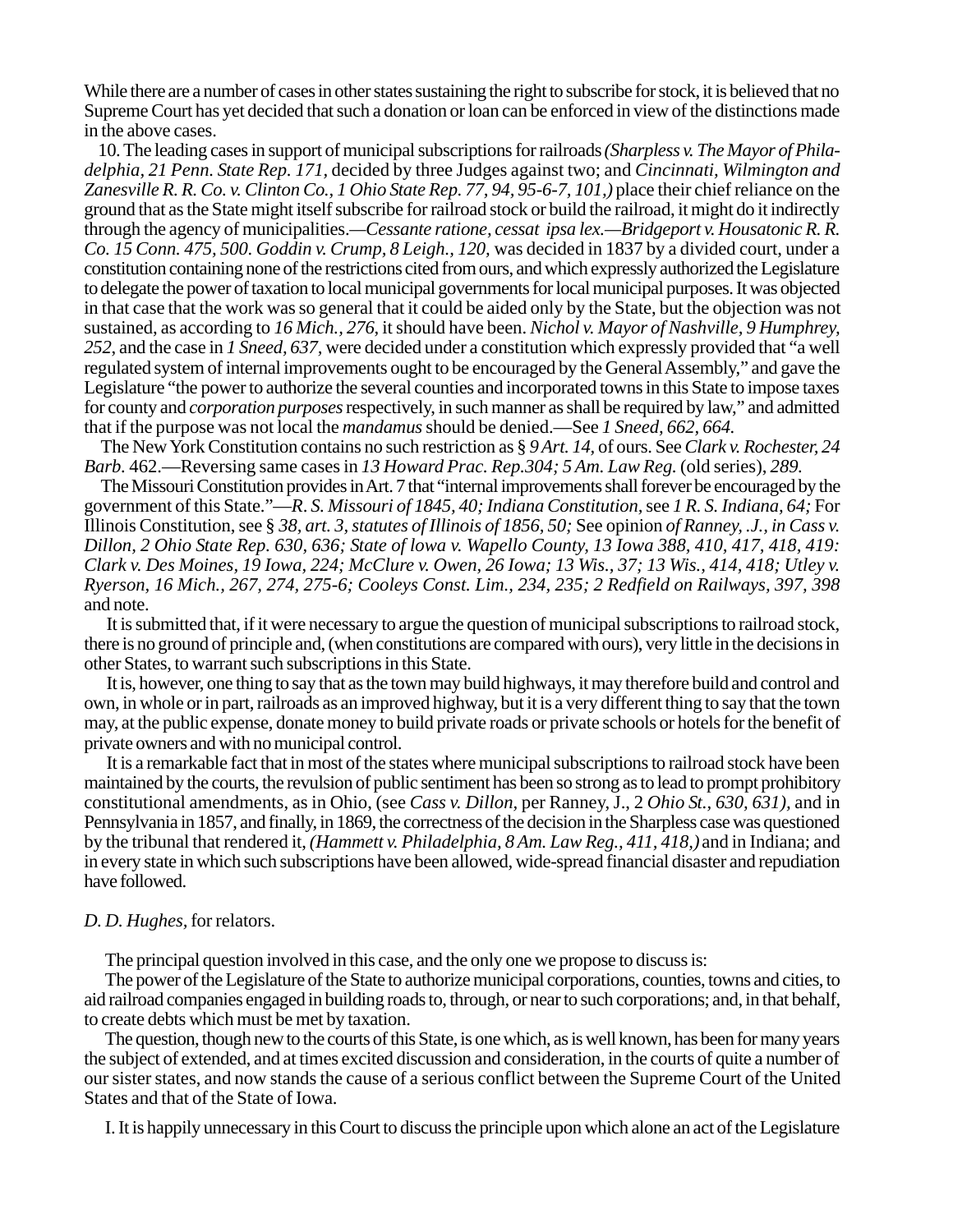While there are a number of cases in other states sustaining the right to subscribe for stock, it is believed that no Supreme Court has yet decided that such a donation or loan can be enforced in view of the distinctions made in the above cases.

10. The leading cases in support of municipal subscriptions for railroads *(Sharpless v. The Mayor of Philadelphia, 21 Penn. State Rep. 171,* decided by three Judges against two; and *Cincinnati, Wilmington and* Zanesville R. R. Co. v. Clinton Co., 1 Ohio State Rep. 77, 94, 95-6-7, 101, place their chief reliance on the ground that as the State might itself subscribe for railroad stock or build the railroad, it might do it indirectly through the agency of municipalities.*—Cessante ratione, cessat ipsa lex.—Bridgeport v. Housatonic R. R. Co. 15 Conn. 475, 500. Goddin v. Crump, 8 Leigh., 120, was decided in 1837 by a divided court, under a* constitution containing none of the restrictions cited from ours, and which expressly authorized the Legislature to delegate the power of taxation to local municipal governments for local municipal purposes. It was objected in that case that the work was so general that it could be aided only by the State, but the objection was not sustained, as according to *16 Mich., 276*, it should have been. *Nichol v. Mayor of Nashville, 9 Humphrey, 252*, and the case in *1 Sneed, 637,* were decided under a constitution which expressly provided that "a well regulated system of internal improvements ought to be encouraged by the General Assembly," and gave the Legislature "the power to authorize the several counties and incorporated towns in this State to impose taxes for county and *corporation purposes* respectively, in such manner as shall be required by law," and admitted that if the purpose was not local the *mandamus* should be denied.—See *1 Sneed, 662, 664.*

The New York Constitution contains no such restriction as § *9 Art. 14,* of ours. See *Clark v. Rochester, 24 Barb.* 462.—Reversing same cases in *13 Howard Prac. Rep.304; 5 Am. Law Reg.* (old series), *289.*

The Missouri Constitution provides in Art. 7 that "internal improvements shall forever be encouraged by the government of this State."—*R*. *S. Missouri of 1845, 40; Indiana Constitution,* see *1 R. S. Indiana, 64;* For Illinois Constitution, see § *38, art. 3, statutes of Illinois of 1856, 50;* See opinion *of Ranney, .J., in Cass v. Dillon, 2 Ohio State Rep. 630, 636; State of lowa v. Wapello County, 13 Iowa 388, 410, 417, 418, 419: Clark v. Des Moines, 19 Iowa, 224; McClure v. Owen, 26 Iowa; 13 Wis., 37; 13 Wis., 414, 418; Utley v. Ryerson, 16 Mich., 267, 274, 275-6; Cooleys Const. Lim., 234, 235; 2 Redfield on Railways, 397, 398* and note.

It is submitted that, if it were necessary to argue the question of municipal subscriptions to railroad stock, there is no ground of principle and, (when constitutions are compared with ours), very little in the decisions in other States, to warrant such subscriptions in this State.

It is, however, one thing to say that as the town may build highways, it may therefore build and control and own, in whole or in part, railroads as an improved highway, but it is a very different thing to say that the town may, at the public expense, donate money to build private roads or private schools or hotels for the benefit of private owners and with no municipal control.

It is a remarkable fact that in most of the states where municipal subscriptions to railroad stock have been maintained by the courts, the revulsion of public sentiment has been so strong as to lead to prompt prohibitory constitutional amendments, as in Ohio, (see *Cass v. Dillon,* per Ranney, J., 2 *Ohio St., 630, 631),* and in Pennsylvania in 1857, and finally, in 1869, the correctness of the decision in the Sharpless case was questioned by the tribunal that rendered it, *(Hammett v. Philadelphia, 8 Am. Law Reg., 411, 418,)* and in Indiana; and in every state in which such subscriptions have been allowed, wide-spread financial disaster and repudiation have followed.

## *D. D. Hughes,* for relators.

The principal question involved in this case, and the only one we propose to discuss is:

The power of the Legislature of the State to authorize municipal corporations, counties, towns and cities, to aid railroad companies engaged in building roads to, through, or near to such corporations; and, in that behalf, to create debts which must be met by taxation.

The question, though new to the courts of this State, is one which, as is well known, has been for many years the subject of extended, and at times excited discussion and consideration, in the courts of quite a number of our sister states, and now stands the cause of a serious conflict between the Supreme Court of the United States and that of the State of Iowa.

I. It is happily unnecessary in this Court to discuss the principle upon which alone an act of the Legislature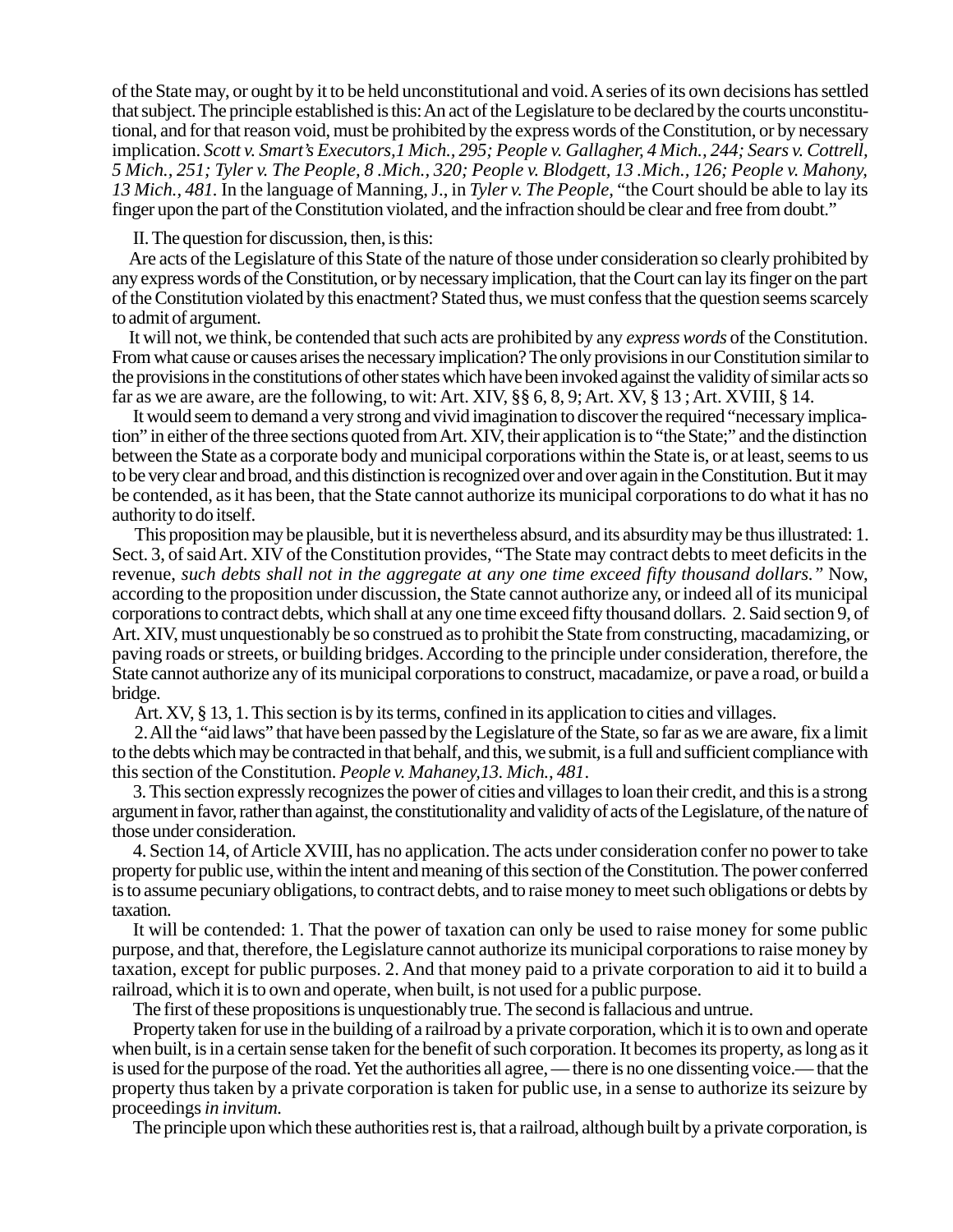of the State may, or ought by it to be held unconstitutional and void. A series of its own decisions has settled that subject. The principle established is this: An act of the Legislature to be declared by the courts unconstitutional, and for that reason void, must be prohibited by the express words of the Constitution, or by necessary implication. *Scott v. Smart's Executors,1 Mich., 295; People v. Gallagher, 4 Mich., 244; Sears v. Cottrell, 5 Mich., 251; Tyler v. The People, 8 .Mich., 320; People v. Blodgett, 13 .Mich., 126; People v. Mahony, 13 Mich., 481.* In the language of Manning, J., in *Tyler v. The People,* "the Court should be able to lay its finger upon the part of the Constitution violated, and the infraction should be clear and free from doubt."

II. The question for discussion, then, is this:

Are acts of the Legislature of this State of the nature of those under consideration so clearly prohibited by any express words of the Constitution, or by necessary implication, that the Court can lay its finger on the part of the Constitution violated by this enactment? Stated thus, we must confess that the question seems scarcely to admit of argument.

It will not, we think, be contended that such acts are prohibited by any *express words* of the Constitution. From what cause or causes arises the necessary implication? The only provisions in our Constitution similar to the provisions in the constitutions of other states which have been invoked against the validity of similar acts so far as we are aware, are the following, to wit: Art. XIV, §§ 6, 8, 9; Art. XV, § 13 ; Art. XVIII, § 14.

It would seem to demand a very strong and vivid imagination to discover the required "necessary implication" in either of the three sections quoted from Art. XIV, their application is to "the State;" and the distinction between the State as a corporate body and municipal corporations within the State is, or at least, seems to us to be very clear and broad, and this distinction is recognized over and over again in the Constitution. But it may be contended, as it has been, that the State cannot authorize its municipal corporations to do what it has no authority to do itself.

This proposition may be plausible, but it is nevertheless absurd, and its absurdity may be thus illustrated: 1. Sect. 3, of said Art. XIV of the Constitution provides, "The State may contract debts to meet deficits in the revenue, *such debts shall not in the aggregate at any one time exceed fifty thousand dollars."* Now, according to the proposition under discussion, the State cannot authorize any, or indeed all of its municipal corporations to contract debts, which shall at any one time exceed fifty thousand dollars. 2. Said section 9, of Art. XIV, must unquestionably be so construed as to prohibit the State from constructing, macadamizing, or paving roads or streets, or building bridges. According to the principle under consideration, therefore, the State cannot authorize any of its municipal corporations to construct, macadamize, or pave a road, or build a bridge.

Art. XV, § 13, 1. This section is by its terms, confined in its application to cities and villages.

2. All the "aid laws" that have been passed by the Legislature of the State, so far as we are aware, fix a limit to the debts which may be contracted in that behalf, and this, we submit, is a full and sufficient compliance with this section of the Constitution. *People v. Mahaney,13. Mich., 481*.

3. This section expressly recognizes the power of cities and villages to loan their credit, and this is a strong argument in favor, rather than against, the constitutionality and validity of acts of the Legislature, of the nature of those under consideration.

4. Section 14, of Article XVIII, has no application. The acts under consideration confer no power to take property for public use, within the intent and meaning of this section of the Constitution. The power conferred is to assume pecuniary obligations, to contract debts, and to raise money to meet such obligations or debts by taxation.

It will be contended: 1. That the power of taxation can only be used to raise money for some public purpose, and that, therefore, the Legislature cannot authorize its municipal corporations to raise money by taxation, except for public purposes. 2. And that money paid to a private corporation to aid it to build a railroad, which it is to own and operate, when built, is not used for a public purpose.

The first of these propositions is unquestionably true. The second is fallacious and untrue.

Property taken for use in the building of a railroad by a private corporation, which it is to own and operate when built, is in a certain sense taken for the benefit of such corporation. It becomes its property, as long as it is used for the purpose of the road. Yet the authorities all agree, — there is no one dissenting voice.— that the property thus taken by a private corporation is taken for public use, in a sense to authorize its seizure by proceedings *in invitum.*

The principle upon which these authorities rest is, that a railroad, although built by a private corporation, is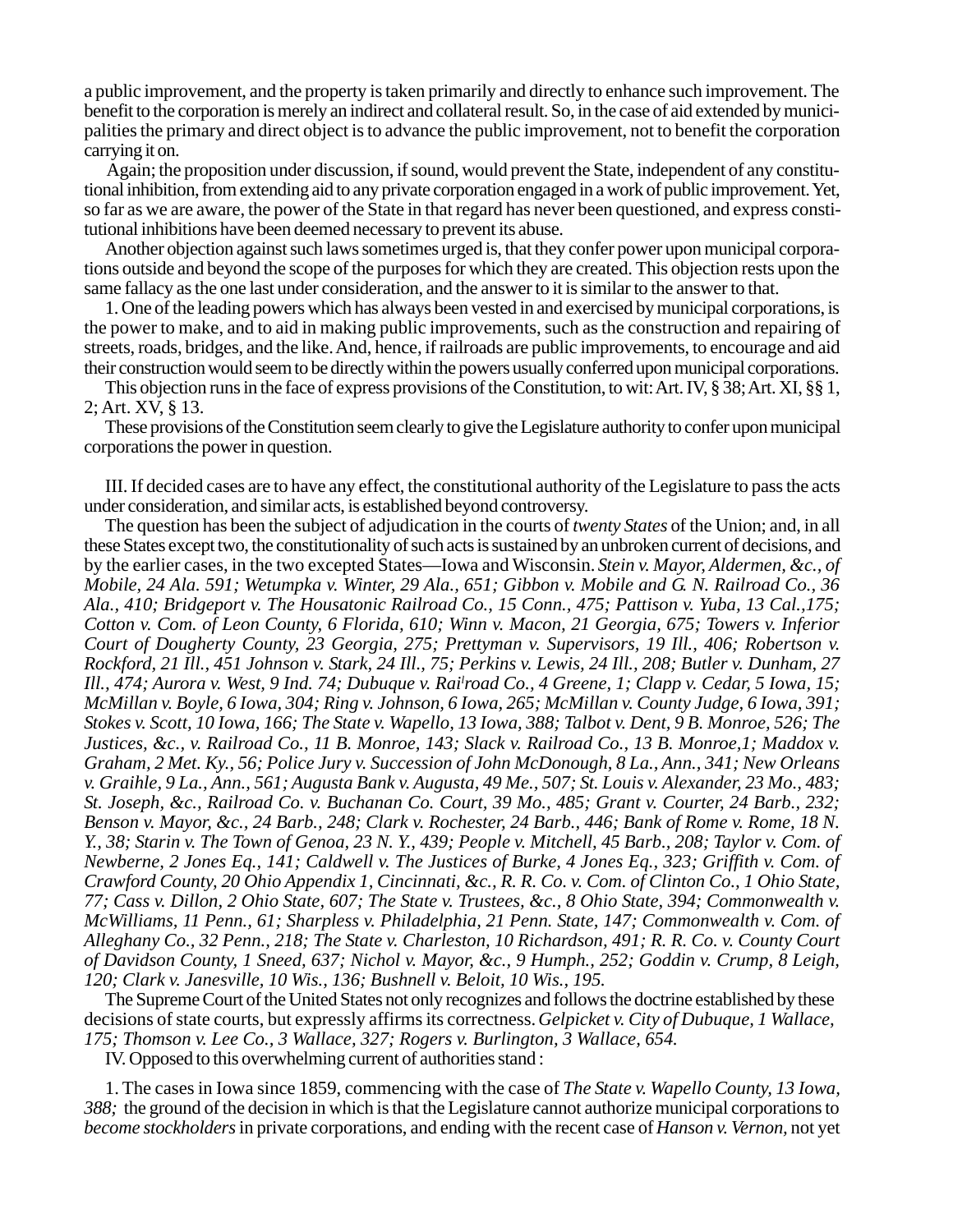a public improvement, and the property is taken primarily and directly to enhance such improvement. The benefit to the corporation is merely an indirect and collateral result. So, in the case of aid extended by municipalities the primary and direct object is to advance the public improvement, not to benefit the corporation carrying it on.

Again; the proposition under discussion, if sound, would prevent the State, independent of any constitutional inhibition, from extending aid to any private corporation engaged in a work of public improvement. Yet, so far as we are aware, the power of the State in that regard has never been questioned, and express constitutional inhibitions have been deemed necessary to prevent its abuse.

Another objection against such laws sometimes urged is, that they confer power upon municipal corporations outside and beyond the scope of the purposes for which they are created. This objection rests upon the same fallacy as the one last under consideration, and the answer to it is similar to the answer to that.

1. One of the leading powers which has always been vested in and exercised by municipal corporations, is the power to make, and to aid in making public improvements, such as the construction and repairing of streets, roads, bridges, and the like. And, hence, if railroads are public improvements, to encourage and aid their construction would seem to be directly within the powers usually conferred upon municipal corporations.

This objection runs in the face of express provisions of the Constitution, to wit: Art. IV, § 38; Art. XI, §§ 1, 2; Art. XV, § 13.

These provisions of the Constitution seem clearly to give the Legislature authority to confer upon municipal corporations the power in question.

III. If decided cases are to have any effect, the constitutional authority of the Legislature to pass the acts under consideration, and similar acts, is established beyond controversy.

The question has been the subject of adjudication in the courts of *twenty States* of the Union; and, in all these States except two, the constitutionality of such acts is sustained by an unbroken current of decisions, and by the earlier cases, in the two excepted States—Iowa and Wisconsin. *Stein v. Mayor, Aldermen, &c., of Mobile, 24 Ala. 591; Wetumpka v. Winter, 29 Ala., 651; Gibbon v. Mobile and G. N. Railroad Co., 36 Ala., 410; Bridgeport v. The Housatonic Railroad Co., 15 Conn., 475; Pattison v. Yuba, 13 Cal.,175; Cotton v. Com. of Leon County, 6 Florida, 610; Winn v. Macon, 21 Georgia, 675; Towers v. Inferior Court of Dougherty County, 23 Georgia, 275; Prettyman v. Supervisors, 19 Ill., 406; Robertson v. Rockford, 21 Ill., 451 Johnson v. Stark, 24 Ill., 75; Perkins v. Lewis, 24 Ill., 208; Butler v. Dunham, 27* Ill., 474; Aurora v. West, 9 Ind. 74; Dubuque v. Rai<sup>l</sup>road Co., 4 Greene, 1; Clapp v. Cedar, 5 Iowa, 15; *McMillan v. Boyle, 6 Iowa, 304; Ring v. Johnson, 6 Iowa, 265; McMillan v. County Judge, 6 Iowa, 391; Stokes v. Scott, 10 Iowa, 166; The State v. Wapello, 13 Iowa, 388; Talbot v. Dent, 9 B. Monroe, 526; The Justices, &c., v. Railroad Co., 11 B. Monroe, 143; Slack v. Railroad Co., 13 B. Monroe,1; Maddox v. Graham, 2 Met. Ky., 56; Police Jury v. Succession of John McDonough, 8 La., Ann., 341; New Orleans v. Graihle, 9 La., Ann., 561; Augusta Bank v. Augusta, 49 Me., 507; St. Louis v. Alexander, 23 Mo., 483; St. Joseph, &c., Railroad Co. v. Buchanan Co. Court, 39 Mo., 485; Grant v. Courter, 24 Barb., 232; Benson v. Mayor, &c., 24 Barb., 248; Clark v. Rochester, 24 Barb., 446; Bank of Rome v. Rome, 18 N. Y., 38; Starin v. The Town of Genoa, 23 N. Y., 439; People v. Mitchell, 45 Barb., 208; Taylor v. Com. of Newberne, 2 Jones Eq., 141; Caldwell v. The Justices of Burke, 4 Jones Eq., 323; Griffith v. Com. of Crawford County, 20 Ohio Appendix 1, Cincinnati, &c., R. R. Co. v. Com. of Clinton Co., 1 Ohio State, 77; Cass v. Dillon, 2 Ohio State, 607; The State v. Trustees, &c., 8 Ohio State, 394; Commonwealth v. McWilliams, 11 Penn., 61; Sharpless v. Philadelphia, 21 Penn. State, 147; Commonwealth v. Com. of Alleghany Co., 32 Penn., 218; The State v. Charleston, 10 Richardson, 491; R. R. Co. v. County Court of Davidson County, 1 Sneed, 637; Nichol v. Mayor, &c., 9 Humph., 252; Goddin v. Crump, 8 Leigh, 120; Clark v. Janesville, 10 Wis., 136; Bushnell v. Beloit, 10 Wis., 195.*

The Supreme Court of the United States not only recognizes and follows the doctrine established by these decisions of state courts, but expressly affirms its correctness. *Gelpicket v. City of Dubuque, 1 Wallace, 175; Thomson v. Lee Co., 3 Wallace, 327; Rogers v. Burlington, 3 Wallace, 654.*

IV. Opposed to this overwhelming current of authorities stand :

1. The cases in Iowa since 1859, commencing with the case of *The State v. Wapello County, 13 Iowa, 388;* the ground of the decision in which is that the Legislature cannot authorize municipal corporations to *become stockholders* in private corporations, and ending with the recent case of *Hanson v. Vernon,* not yet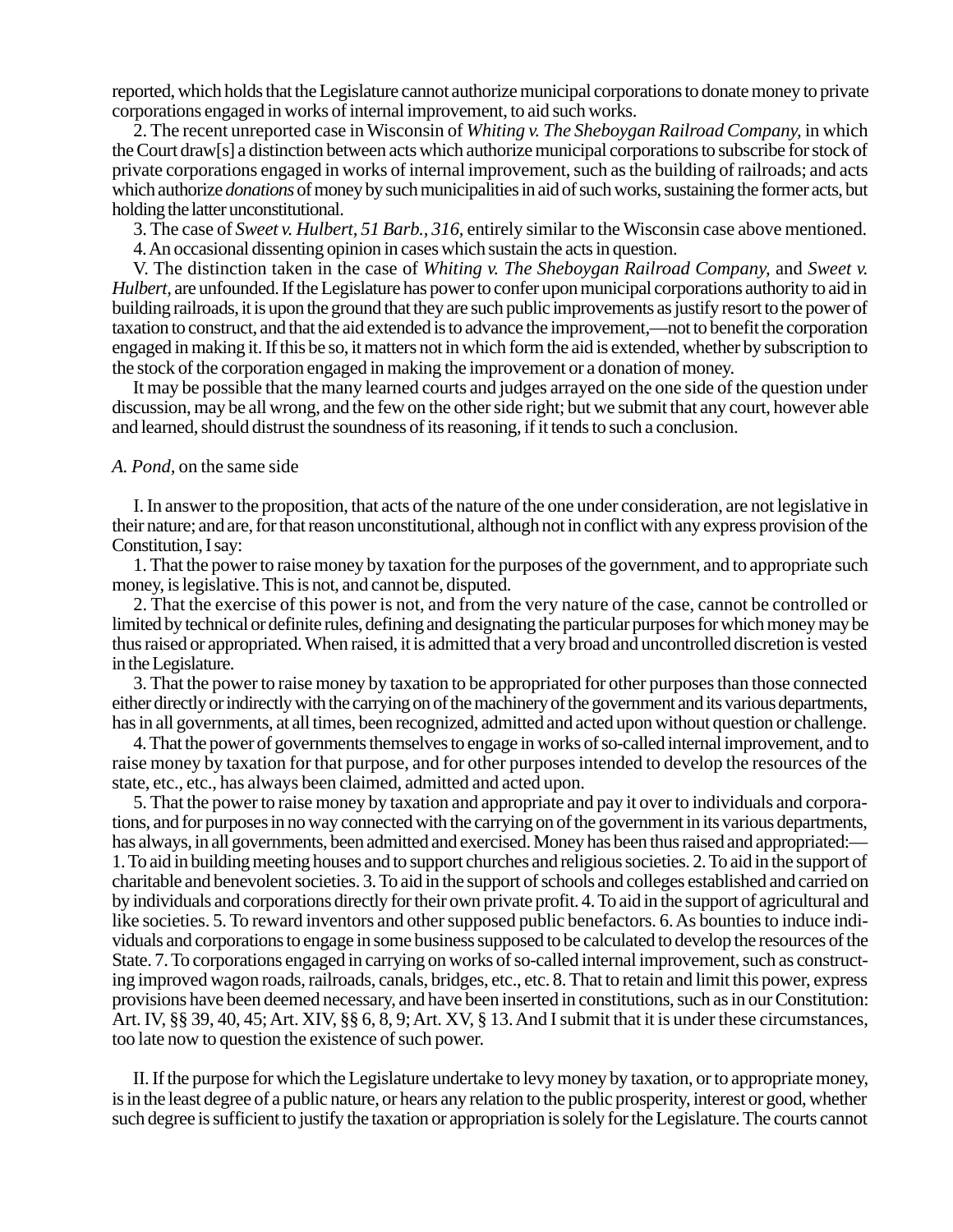reported, which holds that the Legislature cannot authorize municipal corporations to donate money to private corporations engaged in works of internal improvement, to aid such works.

2. The recent unreported case in Wisconsin of *Whiting v. The Sheboygan Railroad Company,* in which the Court draw[s] a distinction between acts which authorize municipal corporations to subscribe for stock of private corporations engaged in works of internal improvement, such as the building of railroads; and acts which authorize *donations* of money by such municipalities in aid of such works, sustaining the former acts, but holding the latter unconstitutional.

3. The case of *Sweet v. Hulbert, 51 Barb., 316,* entirely similar to the Wisconsin case above mentioned.

4. An occasional dissenting opinion in cases which sustain the acts in question.

V. The distinction taken in the case of *Whiting v. The Sheboygan Railroad Company,* and *Sweet v. Hulbert,* are unfounded. If the Legislature has power to confer upon municipal corporations authority to aid in building railroads, it is upon the ground that they are such public improvements as justify resort to the power of taxation to construct, and that the aid extended is to advance the improvement,—not to benefit the corporation engaged in making it. If this be so, it matters not in which form the aid is extended, whether by subscription to the stock of the corporation engaged in making the improvement or a donation of money.

It may be possible that the many learned courts and judges arrayed on the one side of the question under discussion, may be all wrong, and the few on the other side right; but we submit that any court, however able and learned, should distrust the soundness of its reasoning, if it tends to such a conclusion.

#### *A. Pond,* on the same side

I. In answer to the proposition, that acts of the nature of the one under consideration, are not legislative in their nature; and are, for that reason unconstitutional, although not in conflict with any express provision of the Constitution, I say:

1. That the power to raise money by taxation for the purposes of the government, and to appropriate such money, is legislative. This is not, and cannot be, disputed.

2. That the exercise of this power is not, and from the very nature of the case, cannot be controlled or limited by technical or definite rules, defining and designating the particular purposes for which money may be thus raised or appropriated. When raised, it is admitted that a very broad and uncontrolled discretion is vested in the Legislature.

3. That the power to raise money by taxation to be appropriated for other purposes than those connected either directly or indirectly with the carrying on of the machinery of the government and its various departments, has in all governments, at all times, been recognized, admitted and acted upon without question or challenge.

4. That the power of governments themselves to engage in works of so-called internal improvement, and to raise money by taxation for that purpose, and for other purposes intended to develop the resources of the state, etc., etc., has always been claimed, admitted and acted upon.

5. That the power to raise money by taxation and appropriate and pay it over to individuals and corporations, and for purposes in no way connected with the carrying on of the government in its various departments, has always, in all governments, been admitted and exercised. Money has been thus raised and appropriated:— 1. To aid in building meeting houses and to support churches and religious societies. 2. To aid in the support of charitable and benevolent societies. 3. To aid in the support of schools and colleges established and carried on by individuals and corporations directly for their own private profit. 4. To aid in the support of agricultural and like societies. 5. To reward inventors and other supposed public benefactors. 6. As bounties to induce individuals and corporations to engage in some business supposed to be calculated to develop the resources of the State. 7. To corporations engaged in carrying on works of so-called internal improvement, such as constructing improved wagon roads, railroads, canals, bridges, etc., etc. 8. That to retain and limit this power, express provisions have been deemed necessary, and have been inserted in constitutions, such as in our Constitution: Art. IV, §§ 39, 40, 45; Art. XIV, §§ 6, 8, 9; Art. XV, § 13. And I submit that it is under these circumstances, too late now to question the existence of such power.

II. If the purpose for which the Legislature undertake to levy money by taxation, or to appropriate money, is in the least degree of a public nature, or hears any relation to the public prosperity, interest or good, whether such degree is sufficient to justify the taxation or appropriation is solely for the Legislature. The courts cannot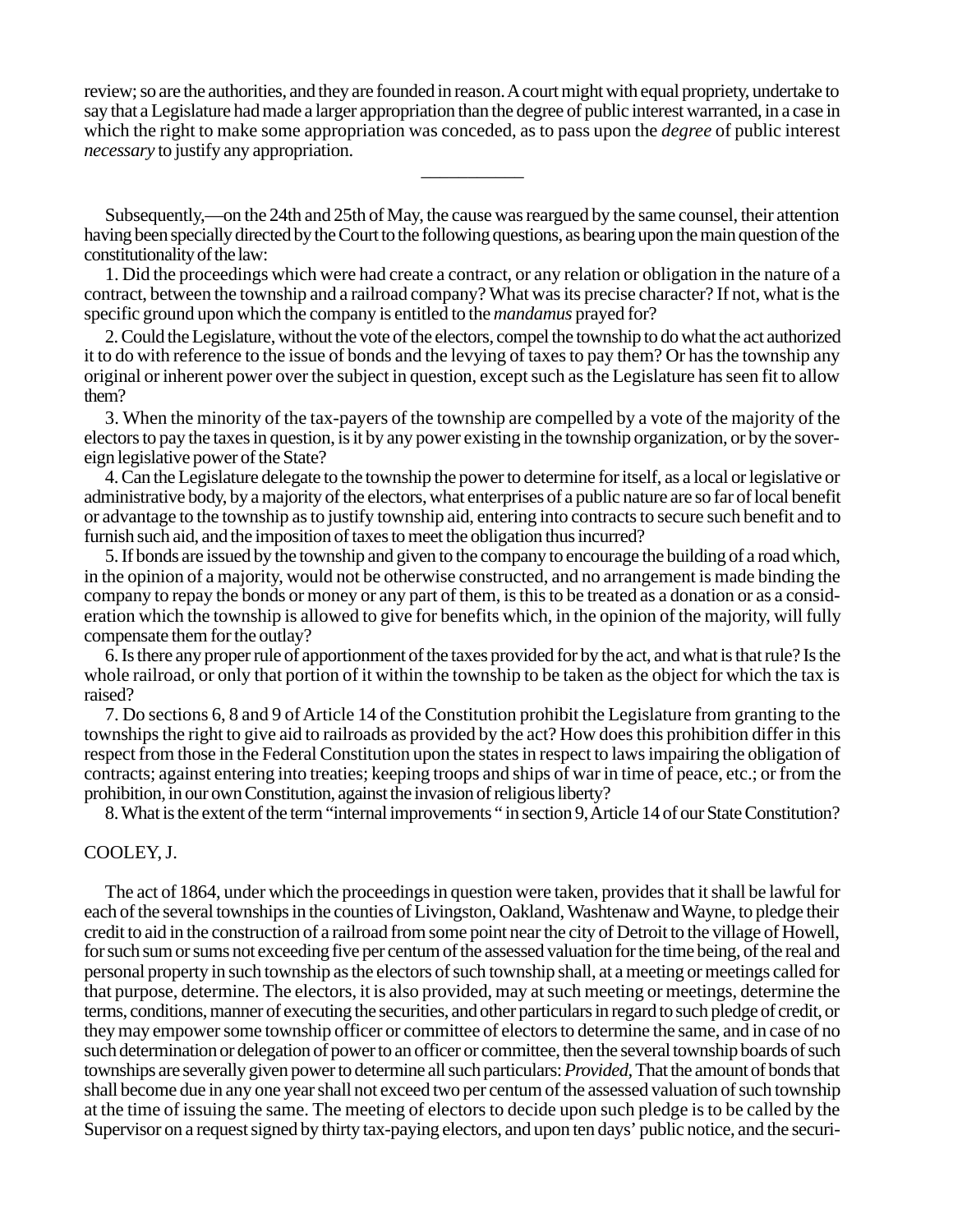review; so are the authorities, and they are founded in reason. A court might with equal propriety, undertake to say that a Legislature had made a larger appropriation than the degree of public interest warranted, in a case in which the right to make some appropriation was conceded, as to pass upon the *degree* of public interest *necessary* to justify any appropriation.

\_\_\_\_\_\_\_\_\_\_\_

Subsequently,—on the 24th and 25th of May, the cause was reargued by the same counsel, their attention having been specially directed by the Court to the following questions, as bearing upon the main question of the constitutionality of the law:

1. Did the proceedings which were had create a contract, or any relation or obligation in the nature of a contract, between the township and a railroad company? What was its precise character? If not, what is the specific ground upon which the company is entitled to the *mandamus* prayed for?

2. Could the Legislature, without the vote of the electors, compel the township to do what the act authorized it to do with reference to the issue of bonds and the levying of taxes to pay them? Or has the township any original or inherent power over the subject in question, except such as the Legislature has seen fit to allow them?

3. When the minority of the tax-payers of the township are compelled by a vote of the majority of the electors to pay the taxes in question, is it by any power existing in the township organization, or by the sovereign legislative power of the State?

4. Can the Legislature delegate to the township the power to determine for itself, as a local or legislative or administrative body, by a majority of the electors, what enterprises of a public nature are so far of local benefit or advantage to the township as to justify township aid, entering into contracts to secure such benefit and to furnish such aid, and the imposition of taxes to meet the obligation thus incurred?

5. If bonds are issued by the township and given to the company to encourage the building of a road which, in the opinion of a majority, would not be otherwise constructed, and no arrangement is made binding the company to repay the bonds or money or any part of them, is this to be treated as a donation or as a consideration which the township is allowed to give for benefits which, in the opinion of the majority, will fully compensate them for the outlay?

6. Is there any proper rule of apportionment of the taxes provided for by the act, and what is that rule? Is the whole railroad, or only that portion of it within the township to be taken as the object for which the tax is raised?

7. Do sections 6, 8 and 9 of Article 14 of the Constitution prohibit the Legislature from granting to the townships the right to give aid to railroads as provided by the act? How does this prohibition differ in this respect from those in the Federal Constitution upon the states in respect to laws impairing the obligation of contracts; against entering into treaties; keeping troops and ships of war in time of peace, etc.; or from the prohibition, in our own Constitution, against the invasion of religious liberty?

8. What is the extent of the term "internal improvements " in section 9, Article 14 of our State Constitution?

### COOLEY, J.

The act of 1864, under which the proceedings in question were taken, provides that it shall be lawful for each of the several townships in the counties of Livingston, Oakland, Washtenaw and Wayne, to pledge their credit to aid in the construction of a railroad from some point near the city of Detroit to the village of Howell, for such sum or sums not exceeding five per centum of the assessed valuation for the time being, of the real and personal property in such township as the electors of such township shall, at a meeting or meetings called for that purpose, determine. The electors, it is also provided, may at such meeting or meetings, determine the terms, conditions, manner of executing the securities, and other particulars in regard to such pledge of credit, or they may empower some township officer or committee of electors to determine the same, and in case of no such determination or delegation of power to an officer or committee, then the several township boards of such townships are severally given power to determine all such particulars: *Provided,* That the amount of bonds that shall become due in any one year shall not exceed two per centum of the assessed valuation of such township at the time of issuing the same. The meeting of electors to decide upon such pledge is to be called by the Supervisor on a request signed by thirty tax-paying electors, and upon ten days' public notice, and the securi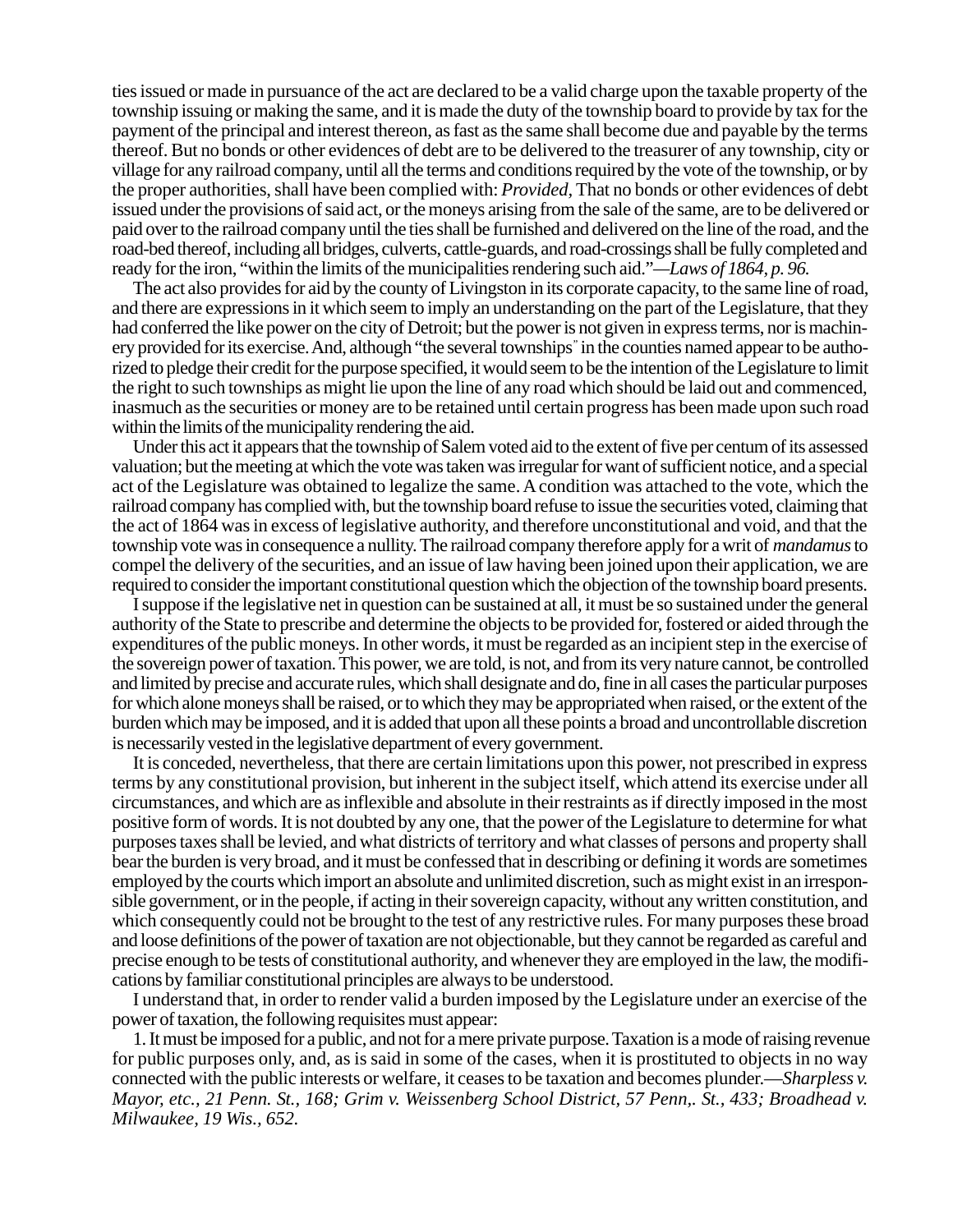ties issued or made in pursuance of the act are declared to be a valid charge upon the taxable property of the township issuing or making the same, and it is made the duty of the township board to provide by tax for the payment of the principal and interest thereon, as fast as the same shall become due and payable by the terms thereof. But no bonds or other evidences of debt are to be delivered to the treasurer of any township, city or village for any railroad company, until all the terms and conditions required by the vote of the township, or by the proper authorities, shall have been complied with: *Provided,* That no bonds or other evidences of debt issued under the provisions of said act, or the moneys arising from the sale of the same, are to be delivered or paid over to the railroad company until the ties shall be furnished and delivered on the line of the road, and the road-bed thereof, including all bridges, culverts, cattle-guards, and road-crossings shall be fully completed and ready for the iron, "within the limits of the municipalities rendering such aid."*—Laws of 1864, p. 96.*

The act also provides for aid by the county of Livingston in its corporate capacity, to the same line of road, and there are expressions in it which seem to imply an understanding on the part of the Legislature, that they had conferred the like power on the city of Detroit; but the power is not given in express terms, nor is machinery provided for its exercise. And, although "the several townships" in the counties named appear to be authorized to pledge their credit for the purpose specified, it would seem to be the intention of the Legislature to limit the right to such townships as might lie upon the line of any road which should be laid out and commenced, inasmuch as the securities or money are to be retained until certain progress has been made upon such road within the limits of the municipality rendering the aid.

Under this act it appears that the township of Salem voted aid to the extent of five per centum of its assessed valuation; but the meeting at which the vote was taken was irregular for want of sufficient notice, and a special act of the Legislature was obtained to legalize the same. A condition was attached to the vote, which the railroad company has complied with, but the township board refuse to issue the securities voted, claiming that the act of 1864 was in excess of legislative authority, and therefore unconstitutional and void, and that the township vote was in consequence a nullity. The railroad company therefore apply for a writ of *mandamus* to compel the delivery of the securities, and an issue of law having been joined upon their application, we are required to consider the important constitutional question which the objection of the township board presents.

I suppose if the legislative net in question can be sustained at all, it must be so sustained under the general authority of the State to prescribe and determine the objects to be provided for, fostered or aided through the expenditures of the public moneys. In other words, it must be regarded as an incipient step in the exercise of the sovereign power of taxation. This power, we are told, is not, and from its very nature cannot, be controlled and limited by precise and accurate rules, which shall designate and do, fine in all cases the particular purposes for which alone moneys shall be raised, or to which they may be appropriated when raised, or the extent of the burden which may be imposed, and it is added that upon all these points a broad and uncontrollable discretion is necessarily vested in the legislative department of every government.

It is conceded, nevertheless, that there are certain limitations upon this power, not prescribed in express terms by any constitutional provision, but inherent in the subject itself, which attend its exercise under all circumstances, and which are as inflexible and absolute in their restraints as if directly imposed in the most positive form of words. It is not doubted by any one, that the power of the Legislature to determine for what purposes taxes shall be levied, and what districts of territory and what classes of persons and property shall bear the burden is very broad, and it must be confessed that in describing or defining it words are sometimes employed by the courts which import an absolute and unlimited discretion, such as might exist in an irresponsible government, or in the people, if acting in their sovereign capacity, without any written constitution, and which consequently could not be brought to the test of any restrictive rules. For many purposes these broad and loose definitions of the power of taxation are not objectionable, but they cannot be regarded as careful and precise enough to be tests of constitutional authority, and whenever they are employed in the law, the modifications by familiar constitutional principles are always to be understood.

I understand that, in order to render valid a burden imposed by the Legislature under an exercise of the power of taxation, the following requisites must appear:

1. It must be imposed for a public, and not for a mere private purpose. Taxation is a mode of raising revenue for public purposes only, and, as is said in some of the cases, when it is prostituted to objects in no way connected with the public interests or welfare, it ceases to be taxation and becomes plunder.—*Sharpless v. Mayor, etc., 21 Penn. St., 168; Grim v. Weissenberg School District, 57 Penn,. St., 433; Broadhead v. Milwaukee, 19 Wis., 652.*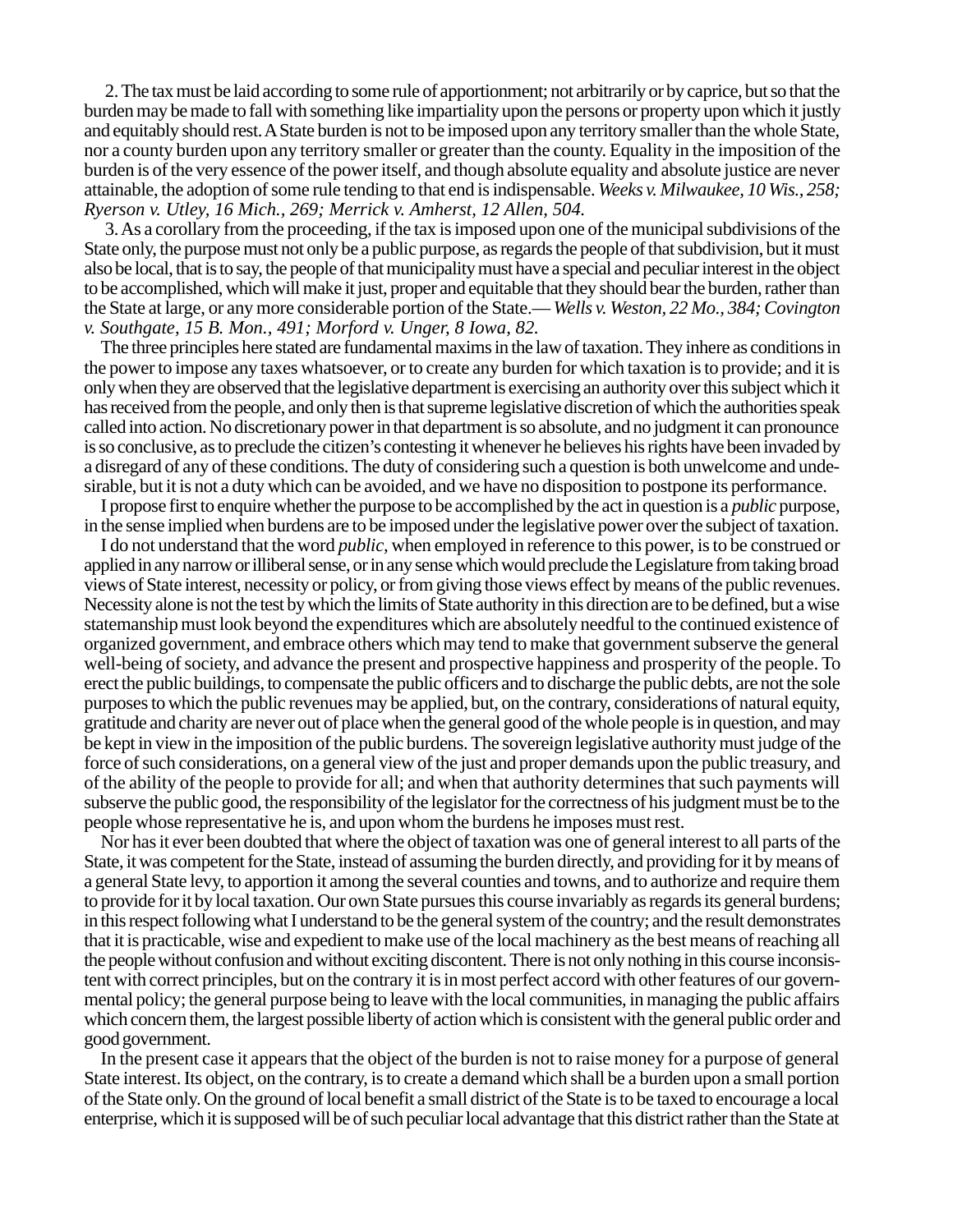2. The tax must be laid according to some rule of apportionment; not arbitrarily or by caprice, but so that the burden may be made to fall with something like impartiality upon the persons or property upon which it justly and equitably should rest. A State burden is not to be imposed upon any territory smaller than the whole State, nor a county burden upon any territory smaller or greater than the county. Equality in the imposition of the burden is of the very essence of the power itself, and though absolute equality and absolute justice are never attainable, the adoption of some rule tending to that end is indispensable. *Weeks v. Milwaukee, 10 Wis., 258; Ryerson v. Utley, 16 Mich., 269; Merrick v. Amherst, 12 Allen, 504.*

3. As a corollary from the proceeding, if the tax is imposed upon one of the municipal subdivisions of the State only, the purpose must not only be a public purpose, as regards the people of that subdivision, but it must also be local, that is to say, the people of that municipality must have a special and peculiar interest in the object to be accomplished, which will make it just, proper and equitable that they should bear the burden, rather than the State at large, or any more considerable portion of the State.— *Wells v. Weston, 22 Mo., 384; Covington v. Southgate, 15 B. Mon., 491; Morford v. Unger, 8 Iowa, 82.*

The three principles here stated are fundamental maxims in the law of taxation. They inhere as conditions in the power to impose any taxes whatsoever, or to create any burden for which taxation is to provide; and it is only when they are observed that the legislative department is exercising an authority over this subject which it has received from the people, and only then is that supreme legislative discretion of which the authorities speak called into action. No discretionary power in that department is so absolute, and no judgment it can pronounce is so conclusive, as to preclude the citizen's contesting it whenever he believes his rights have been invaded by a disregard of any of these conditions. The duty of considering such a question is both unwelcome and undesirable, but it is not a duty which can be avoided, and we have no disposition to postpone its performance.

I propose first to enquire whether the purpose to be accomplished by the act in question is a *public* purpose, in the sense implied when burdens are to be imposed under the legislative power over the subject of taxation.

I do not understand that the word *public,* when employed in reference to this power, is to be construed or applied in any narrow or illiberal sense, or in any sense which would preclude the Legislature from taking broad views of State interest, necessity or policy, or from giving those views effect by means of the public revenues. Necessity alone is not the test by which the limits of State authority in this direction are to be defined, but a wise statemanship must look beyond the expenditures which are absolutely needful to the continued existence of organized government, and embrace others which may tend to make that government subserve the general well-being of society, and advance the present and prospective happiness and prosperity of the people. To erect the public buildings, to compensate the public officers and to discharge the public debts, are not the sole purposes to which the public revenues may be applied, but, on the contrary, considerations of natural equity, gratitude and charity are never out of place when the general good of the whole people is in question, and may be kept in view in the imposition of the public burdens. The sovereign legislative authority must judge of the force of such considerations, on a general view of the just and proper demands upon the public treasury, and of the ability of the people to provide for all; and when that authority determines that such payments will subserve the public good, the responsibility of the legislator for the correctness of his judgment must be to the people whose representative he is, and upon whom the burdens he imposes must rest.

Nor has it ever been doubted that where the object of taxation was one of general interest to all parts of the State, it was competent for the State, instead of assuming the burden directly, and providing for it by means of a general State levy, to apportion it among the several counties and towns, and to authorize and require them to provide for it by local taxation. Our own State pursues this course invariably as regards its general burdens; in this respect following what I understand to be the general system of the country; and the result demonstrates that it is practicable, wise and expedient to make use of the local machinery as the best means of reaching all the people without confusion and without exciting discontent. There is not only nothing in this course inconsistent with correct principles, but on the contrary it is in most perfect accord with other features of our governmental policy; the general purpose being to leave with the local communities, in managing the public affairs which concern them, the largest possible liberty of action which is consistent with the general public order and good government.

In the present case it appears that the object of the burden is not to raise money for a purpose of general State interest. Its object, on the contrary, is to create a demand which shall be a burden upon a small portion of the State only. On the ground of local benefit a small district of the State is to be taxed to encourage a local enterprise, which it is supposed will be of such peculiar local advantage that this district rather than the State at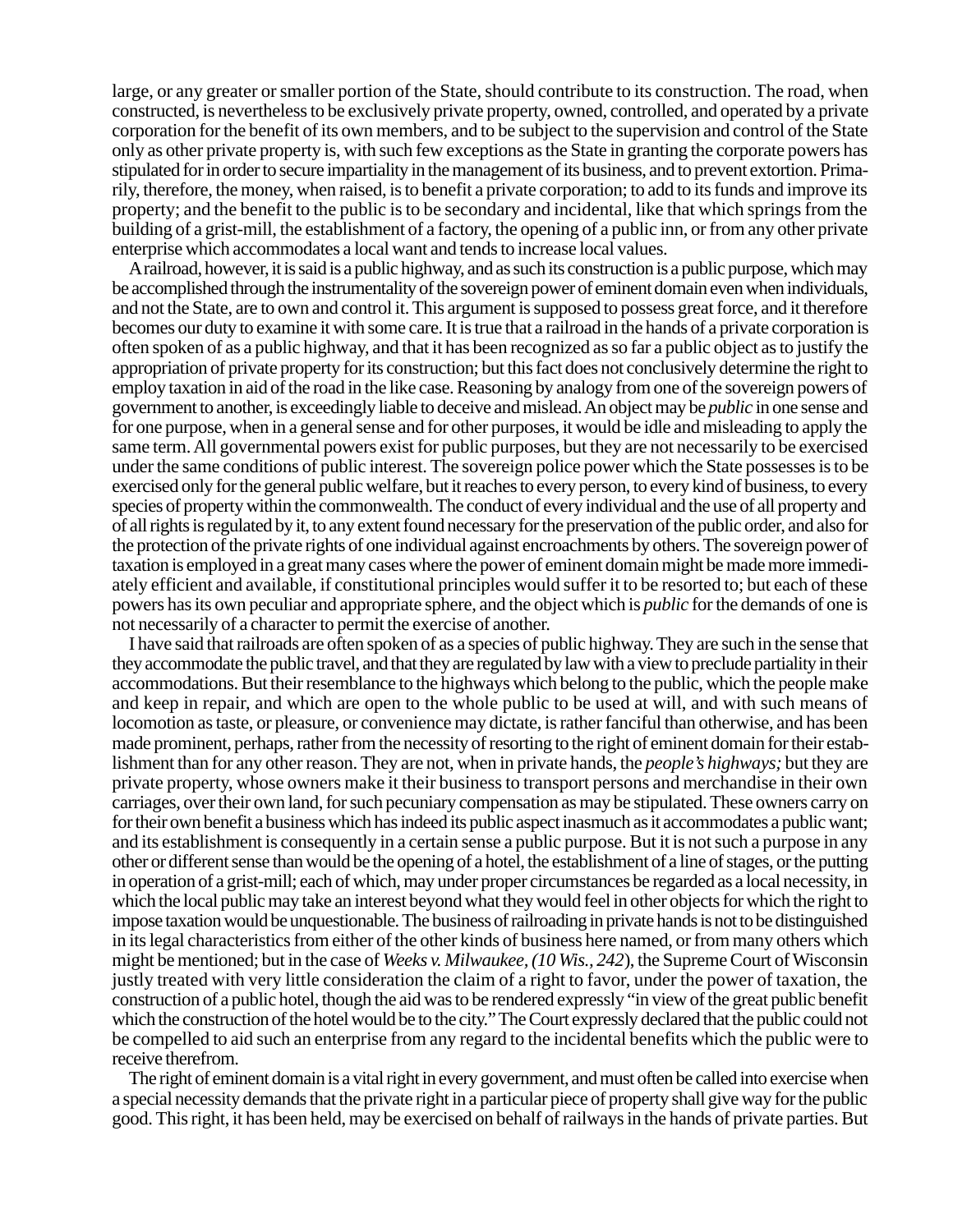large, or any greater or smaller portion of the State, should contribute to its construction. The road, when constructed, is nevertheless to be exclusively private property, owned, controlled, and operated by a private corporation for the benefit of its own members, and to be subject to the supervision and control of the State only as other private property is, with such few exceptions as the State in granting the corporate powers has stipulated for in order to secure impartiality in the management of its business, and to prevent extortion. Primarily, therefore, the money, when raised, is to benefit a private corporation; to add to its funds and improve its property; and the benefit to the public is to be secondary and incidental, like that which springs from the building of a grist-mill, the establishment of a factory, the opening of a public inn, or from any other private enterprise which accommodates a local want and tends to increase local values.

A railroad, however, it is said is a public highway, and as such its construction is a public purpose, which may be accomplished through the instrumentality of the sovereign power of eminent domain even when individuals, and not the State, are to own and control it. This argument is supposed to possess great force, and it therefore becomes our duty to examine it with some care. It is true that a railroad in the hands of a private corporation is often spoken of as a public highway, and that it has been recognized as so far a public object as to justify the appropriation of private property for its construction; but this fact does not conclusively determine the right to employ taxation in aid of the road in the like case. Reasoning by analogy from one of the sovereign powers of government to another, is exceedingly liable to deceive and mislead. An object may be *public* in one sense and for one purpose, when in a general sense and for other purposes, it would be idle and misleading to apply the same term. All governmental powers exist for public purposes, but they are not necessarily to be exercised under the same conditions of public interest. The sovereign police power which the State possesses is to be exercised only for the general public welfare, but it reaches to every person, to every kind of business, to every species of property within the commonwealth. The conduct of every individual and the use of all property and of all rights is regulated by it, to any extent found necessary for the preservation of the public order, and also for the protection of the private rights of one individual against encroachments by others. The sovereign power of taxation is employed in a great many cases where the power of eminent domain might be made more immediately efficient and available, if constitutional principles would suffer it to be resorted to; but each of these powers has its own peculiar and appropriate sphere, and the object which is *public* for the demands of one is not necessarily of a character to permit the exercise of another.

I have said that railroads are often spoken of as a species of public highway. They are such in the sense that they accommodate the public travel, and that they are regulated by law with a view to preclude partiality in their accommodations. But their resemblance to the highways which belong to the public, which the people make and keep in repair, and which are open to the whole public to be used at will, and with such means of locomotion as taste, or pleasure, or convenience may dictate, is rather fanciful than otherwise, and has been made prominent, perhaps, rather from the necessity of resorting to the right of eminent domain for their establishment than for any other reason. They are not, when in private hands, the *people's highways;* but they are private property, whose owners make it their business to transport persons and merchandise in their own carriages, over their own land, for such pecuniary compensation as may be stipulated. These owners carry on for their own benefit a business which has indeed its public aspect inasmuch as it accommodates a public want; and its establishment is consequently in a certain sense a public purpose. But it is not such a purpose in any other or different sense than would be the opening of a hotel, the establishment of a line of stages, or the putting in operation of a grist-mill; each of which, may under proper circumstances be regarded as a local necessity, in which the local public may take an interest beyond what they would feel in other objects for which the right to impose taxation would be unquestionable. The business of railroading in private hands is not to be distinguished in its legal characteristics from either of the other kinds of business here named, or from many others which might be mentioned; but in the case of *Weeks v. Milwaukee, (10 Wis., 242*), the Supreme Court of Wisconsin justly treated with very little consideration the claim of a right to favor, under the power of taxation, the construction of a public hotel, though the aid was to be rendered expressly "in view of the great public benefit which the construction of the hotel would be to the city." The Court expressly declared that the public could not be compelled to aid such an enterprise from any regard to the incidental benefits which the public were to receive therefrom.

The right of eminent domain is a vital right in every government, and must often be called into exercise when a special necessity demands that the private right in a particular piece of property shall give way for the public good. This right, it has been held, may be exercised on behalf of railways in the hands of private parties. But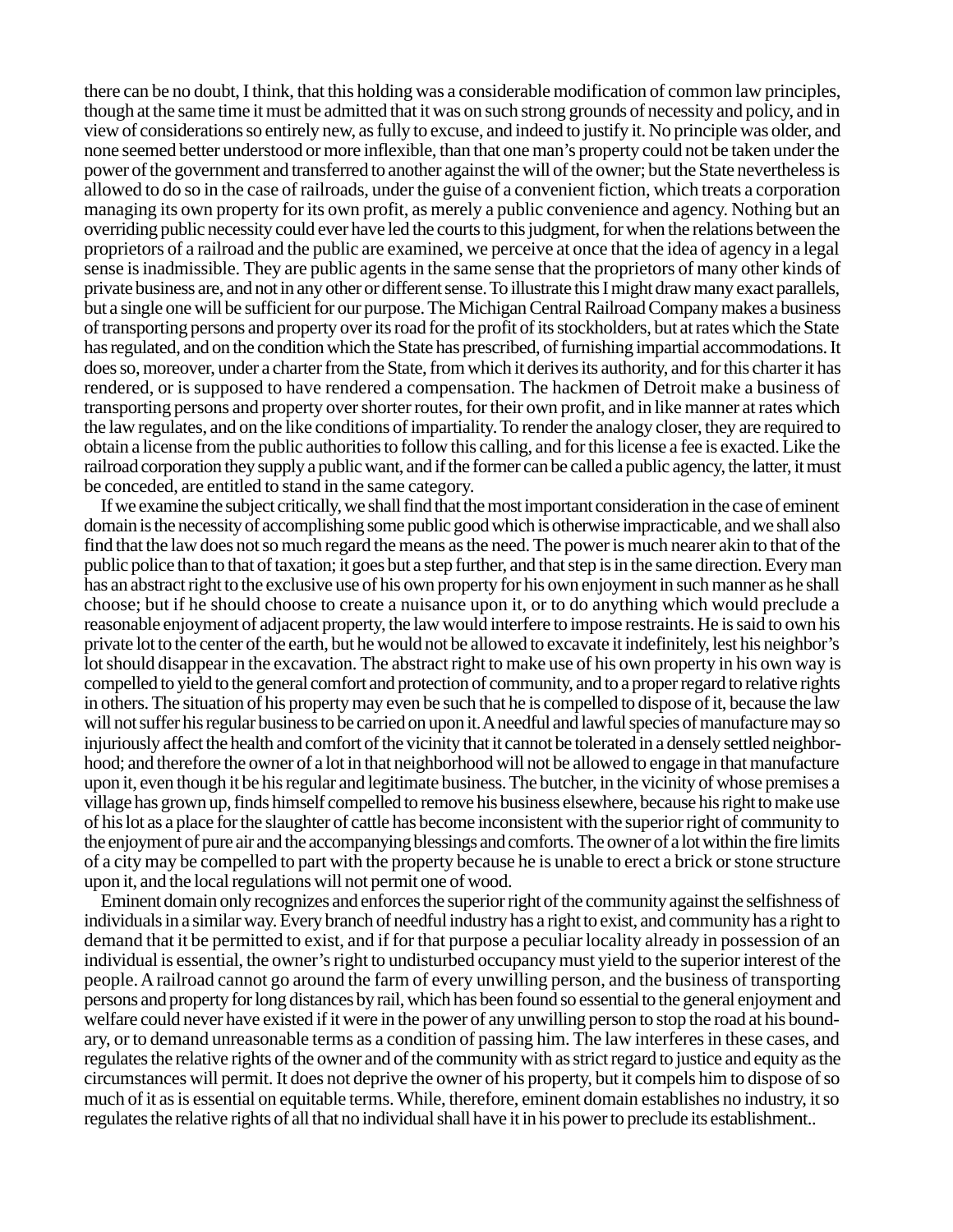there can be no doubt, I think, that this holding was a considerable modification of common law principles, though at the same time it must be admitted that it was on such strong grounds of necessity and policy, and in view of considerations so entirely new, as fully to excuse, and indeed to justify it. No principle was older, and none seemed better understood or more inflexible, than that one man's property could not be taken under the power of the government and transferred to another against the will of the owner; but the State nevertheless is allowed to do so in the case of railroads, under the guise of a convenient fiction, which treats a corporation managing its own property for its own profit, as merely a public convenience and agency. Nothing but an overriding public necessity could ever have led the courts to this judgment, for when the relations between the proprietors of a railroad and the public are examined, we perceive at once that the idea of agency in a legal sense is inadmissible. They are public agents in the same sense that the proprietors of many other kinds of private business are, and not in any other or different sense. To illustrate this I might draw many exact parallels, but a single one will be sufficient for our purpose. The Michigan Central Railroad Company makes a business of transporting persons and property over its road for the profit of its stockholders, but at rates which the State has regulated, and on the condition which the State has prescribed, of furnishing impartial accommodations. It does so, moreover, under a charter from the State, from which it derives its authority, and for this charter it has rendered, or is supposed to have rendered a compensation. The hackmen of Detroit make a business of transporting persons and property over shorter routes, for their own profit, and in like manner at rates which the law regulates, and on the like conditions of impartiality. To render the analogy closer, they are required to obtain a license from the public authorities to follow this calling, and for this license a fee is exacted. Like the railroad corporation they supply a public want, and if the former can be called a public agency, the latter, it must be conceded, are entitled to stand in the same category.

If we examine the subject critically, we shall find that the most important consideration in the case of eminent domain is the necessity of accomplishing some public good which is otherwise impracticable, and we shall also find that the law does not so much regard the means as the need. The power is much nearer akin to that of the public police than to that of taxation; it goes but a step further, and that step is in the same direction. Every man has an abstract right to the exclusive use of his own property for his own enjoyment in such manner as he shall choose; but if he should choose to create a nuisance upon it, or to do anything which would preclude a reasonable enjoyment of adjacent property, the law would interfere to impose restraints. He is said to own his private lot to the center of the earth, but he would not be allowed to excavate it indefinitely, lest his neighbor's lot should disappear in the excavation. The abstract right to make use of his own property in his own way is compelled to yield to the general comfort and protection of community, and to a proper regard to relative rights in others. The situation of his property may even be such that he is compelled to dispose of it, because the law will not suffer his regular business to be carried on upon it. A needful and lawful species of manufacture may so injuriously affect the health and comfort of the vicinity that it cannot be tolerated in a densely settled neighborhood; and therefore the owner of a lot in that neighborhood will not be allowed to engage in that manufacture upon it, even though it be his regular and legitimate business. The butcher, in the vicinity of whose premises a village has grown up, finds himself compelled to remove his business elsewhere, because his right to make use of his lot as a place for the slaughter of cattle has become inconsistent with the superior right of community to the enjoyment of pure air and the accompanying blessings and comforts. The owner of a lot within the fire limits of a city may be compelled to part with the property because he is unable to erect a brick or stone structure upon it, and the local regulations will not permit one of wood.

Eminent domain only recognizes and enforces the superior right of the community against the selfishness of individuals in a similar way. Every branch of needful industry has a right to exist, and community has a right to demand that it be permitted to exist, and if for that purpose a peculiar locality already in possession of an individual is essential, the owner's right to undisturbed occupancy must yield to the superior interest of the people. A railroad cannot go around the farm of every unwilling person, and the business of transporting persons and property for long distances by rail, which has been found so essential to the general enjoyment and welfare could never have existed if it were in the power of any unwilling person to stop the road at his boundary, or to demand unreasonable terms as a condition of passing him. The law interferes in these cases, and regulates the relative rights of the owner and of the community with as strict regard to justice and equity as the circumstances will permit. It does not deprive the owner of his property, but it compels him to dispose of so much of it as is essential on equitable terms. While, therefore, eminent domain establishes no industry, it so regulates the relative rights of all that no individual shall have it in his power to preclude its establishment..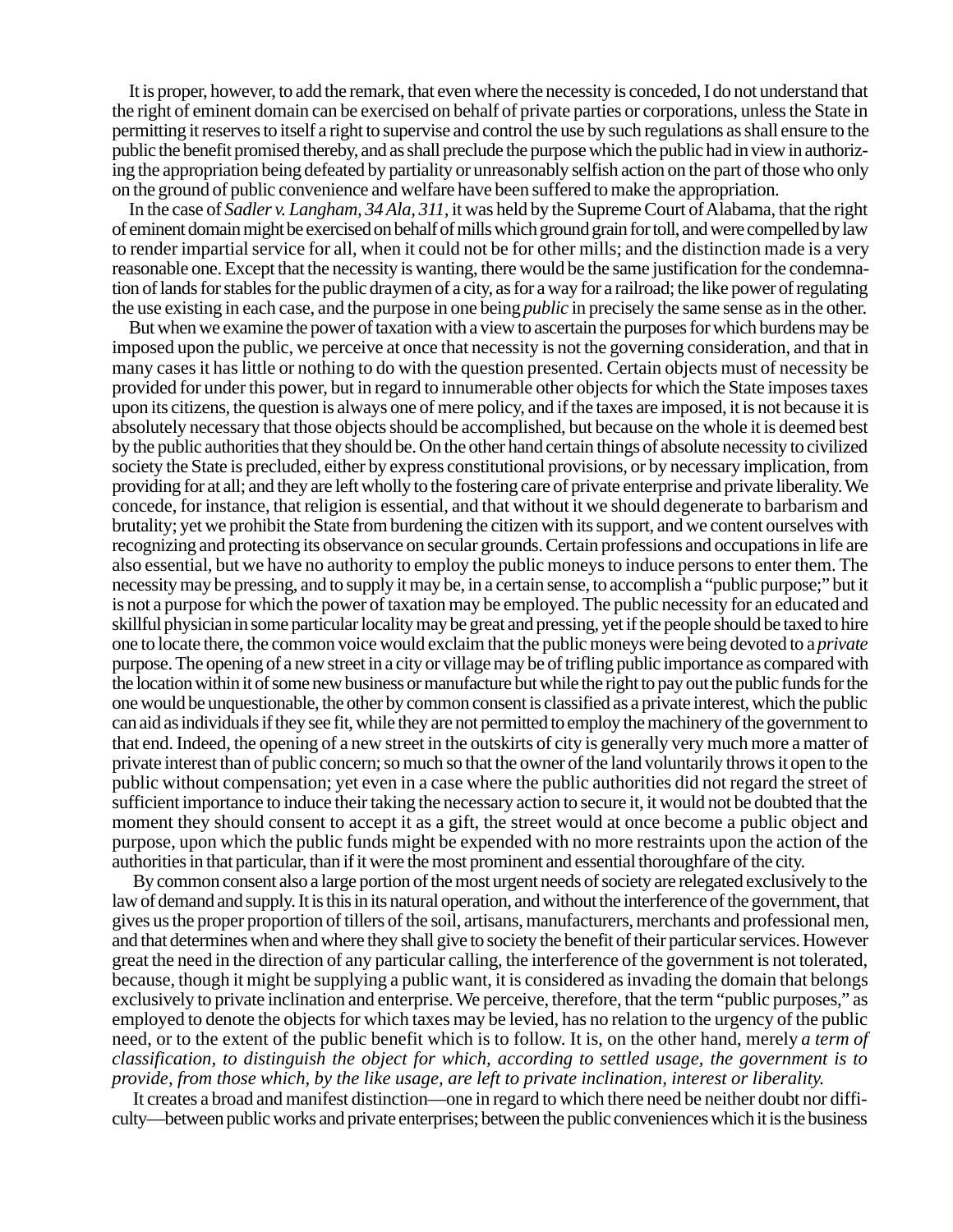It is proper, however, to add the remark, that even where the necessity is conceded, I do not understand that the right of eminent domain can be exercised on behalf of private parties or corporations, unless the State in permitting it reserves to itself a right to supervise and control the use by such regulations as shall ensure to the public the benefit promised thereby, and as shall preclude the purpose which the public had in view in authorizing the appropriation being defeated by partiality or unreasonably selfish action on the part of those who only on the ground of public convenience and welfare have been suffered to make the appropriation.

In the case of *Sadler v. Langham, 34 Ala, 311,* it was held by the Supreme Court of Alabama, that the right of eminent domain might be exercised on behalf of mills which ground grain for toll, and were compelled by law to render impartial service for all, when it could not be for other mills; and the distinction made is a very reasonable one. Except that the necessity is wanting, there would be the same justification for the condemnation of lands for stables for the public draymen of a city, as for a way for a railroad; the like power of regulating the use existing in each case, and the purpose in one being *public* in precisely the same sense as in the other.

But when we examine the power of taxation with a view to ascertain the purposes for which burdens may be imposed upon the public, we perceive at once that necessity is not the governing consideration, and that in many cases it has little or nothing to do with the question presented. Certain objects must of necessity be provided for under this power, but in regard to innumerable other objects for which the State imposes taxes upon its citizens, the question is always one of mere policy, and if the taxes are imposed, it is not because it is absolutely necessary that those objects should be accomplished, but because on the whole it is deemed best by the public authorities that they should be. On the other hand certain things of absolute necessity to civilized society the State is precluded, either by express constitutional provisions, or by necessary implication, from providing for at all; and they are left wholly to the fostering care of private enterprise and private liberality. We concede, for instance, that religion is essential, and that without it we should degenerate to barbarism and brutality; yet we prohibit the State from burdening the citizen with its support, and we content ourselves with recognizing and protecting its observance on secular grounds. Certain professions and occupations in life are also essential, but we have no authority to employ the public moneys to induce persons to enter them. The necessity may be pressing, and to supply it may be, in a certain sense, to accomplish a "public purpose;" but it is not a purpose for which the power of taxation may be employed. The public necessity for an educated and skillful physician in some particular locality may be great and pressing, yet if the people should be taxed to hire one to locate there, the common voice would exclaim that the public moneys were being devoted to a *private* purpose. The opening of a new street in a city or village may be of trifling public importance as compared with the location within it of some new business or manufacture but while the right to pay out the public funds for the one would be unquestionable, the other by common consent is classified as a private interest, which the public can aid as individuals if they see fit, while they are not permitted to employ the machinery of the government to that end. Indeed, the opening of a new street in the outskirts of city is generally very much more a matter of private interest than of public concern; so much so that the owner of the land voluntarily throws it open to the public without compensation; yet even in a case where the public authorities did not regard the street of sufficient importance to induce their taking the necessary action to secure it, it would not be doubted that the moment they should consent to accept it as a gift, the street would at once become a public object and purpose, upon which the public funds might be expended with no more restraints upon the action of the authorities in that particular, than if it were the most prominent and essential thoroughfare of the city.

By common consent also a large portion of the most urgent needs of society are relegated exclusively to the law of demand and supply. It is this in its natural operation, and without the interference of the government, that gives us the proper proportion of tillers of the soil, artisans, manufacturers, merchants and professional men, and that determines when and where they shall give to society the benefit of their particular services. However great the need in the direction of any particular calling, the interference of the government is not tolerated, because, though it might be supplying a public want, it is considered as invading the domain that belongs exclusively to private inclination and enterprise. We perceive, therefore, that the term "public purposes," as employed to denote the objects for which taxes may be levied, has no relation to the urgency of the public need, or to the extent of the public benefit which is to follow. It is, on the other hand, merely *a term of classification, to distinguish the object for which, according to settled usage, the government is to provide, from those which, by the like usage, are left to private inclination, interest or liberality.*

It creates a broad and manifest distinction—one in regard to which there need be neither doubt nor difficulty—between public works and private enterprises; between the public conveniences which it is the business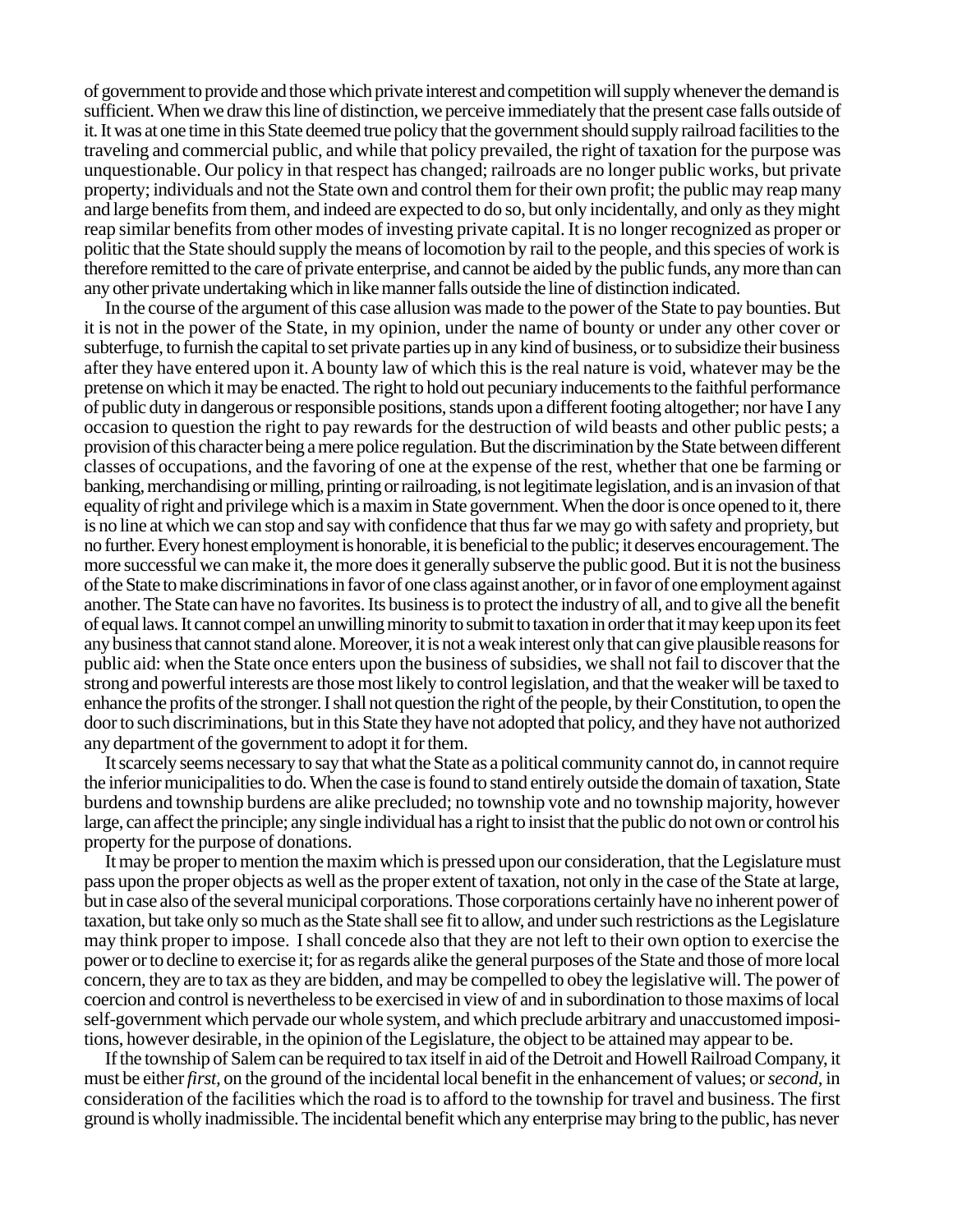of government to provide and those which private interest and competition will supply whenever the demand is sufficient. When we draw this line of distinction, we perceive immediately that the present case falls outside of it. It was at one time in this State deemed true policy that the government should supply railroad facilities to the traveling and commercial public, and while that policy prevailed, the right of taxation for the purpose was unquestionable. Our policy in that respect has changed; railroads are no longer public works, but private property; individuals and not the State own and control them for their own profit; the public may reap many and large benefits from them, and indeed are expected to do so, but only incidentally, and only as they might reap similar benefits from other modes of investing private capital. It is no longer recognized as proper or politic that the State should supply the means of locomotion by rail to the people, and this species of work is therefore remitted to the care of private enterprise, and cannot be aided by the public funds, any more than can any other private undertaking which in like manner falls outside the line of distinction indicated.

In the course of the argument of this case allusion was made to the power of the State to pay bounties. But it is not in the power of the State, in my opinion, under the name of bounty or under any other cover or subterfuge, to furnish the capital to set private parties up in any kind of business, or to subsidize their business after they have entered upon it. A bounty law of which this is the real nature is void, whatever may be the pretense on which it may be enacted. The right to hold out pecuniary inducements to the faithful performance of public duty in dangerous or responsible positions, stands upon a different footing altogether; nor have I any occasion to question the right to pay rewards for the destruction of wild beasts and other public pests; a provision of this character being a mere police regulation. But the discrimination by the State between different classes of occupations, and the favoring of one at the expense of the rest, whether that one be farming or banking, merchandising or milling, printing or railroading, is not legitimate legislation, and is an invasion of that equality of right and privilege which is a maxim in State government. When the door is once opened to it, there is no line at which we can stop and say with confidence that thus far we may go with safety and propriety, but no further. Every honest employment is honorable, it is beneficial to the public; it deserves encouragement. The more successful we can make it, the more does it generally subserve the public good. But it is not the business of the State to make discriminations in favor of one class against another, or in favor of one employment against another. The State can have no favorites. Its business is to protect the industry of all, and to give all the benefit of equal laws. It cannot compel an unwilling minority to submit to taxation in order that it may keep upon its feet any business that cannot stand alone. Moreover, it is not a weak interest only that can give plausible reasons for public aid: when the State once enters upon the business of subsidies, we shall not fail to discover that the strong and powerful interests are those most likely to control legislation, and that the weaker will be taxed to enhance the profits of the stronger. I shall not question the right of the people, by their Constitution, to open the door to such discriminations, but in this State they have not adopted that policy, and they have not authorized any department of the government to adopt it for them.

It scarcely seems necessary to say that what the State as a political community cannot do, in cannot require the inferior municipalities to do. When the case is found to stand entirely outside the domain of taxation, State burdens and township burdens are alike precluded; no township vote and no township majority, however large, can affect the principle; any single individual has a right to insist that the public do not own or control his property for the purpose of donations.

It may be proper to mention the maxim which is pressed upon our consideration, that the Legislature must pass upon the proper objects as well as the proper extent of taxation, not only in the case of the State at large, but in case also of the several municipal corporations. Those corporations certainly have no inherent power of taxation, but take only so much as the State shall see fit to allow, and under such restrictions as the Legislature may think proper to impose. I shall concede also that they are not left to their own option to exercise the power or to decline to exercise it; for as regards alike the general purposes of the State and those of more local concern, they are to tax as they are bidden, and may be compelled to obey the legislative will. The power of coercion and control is nevertheless to be exercised in view of and in subordination to those maxims of local self-government which pervade our whole system, and which preclude arbitrary and unaccustomed impositions, however desirable, in the opinion of the Legislature, the object to be attained may appear to be.

If the township of Salem can be required to tax itself in aid of the Detroit and Howell Railroad Company, it must be either *first,* on the ground of the incidental local benefit in the enhancement of values; or *second,* in consideration of the facilities which the road is to afford to the township for travel and business. The first ground is wholly inadmissible. The incidental benefit which any enterprise may bring to the public, has never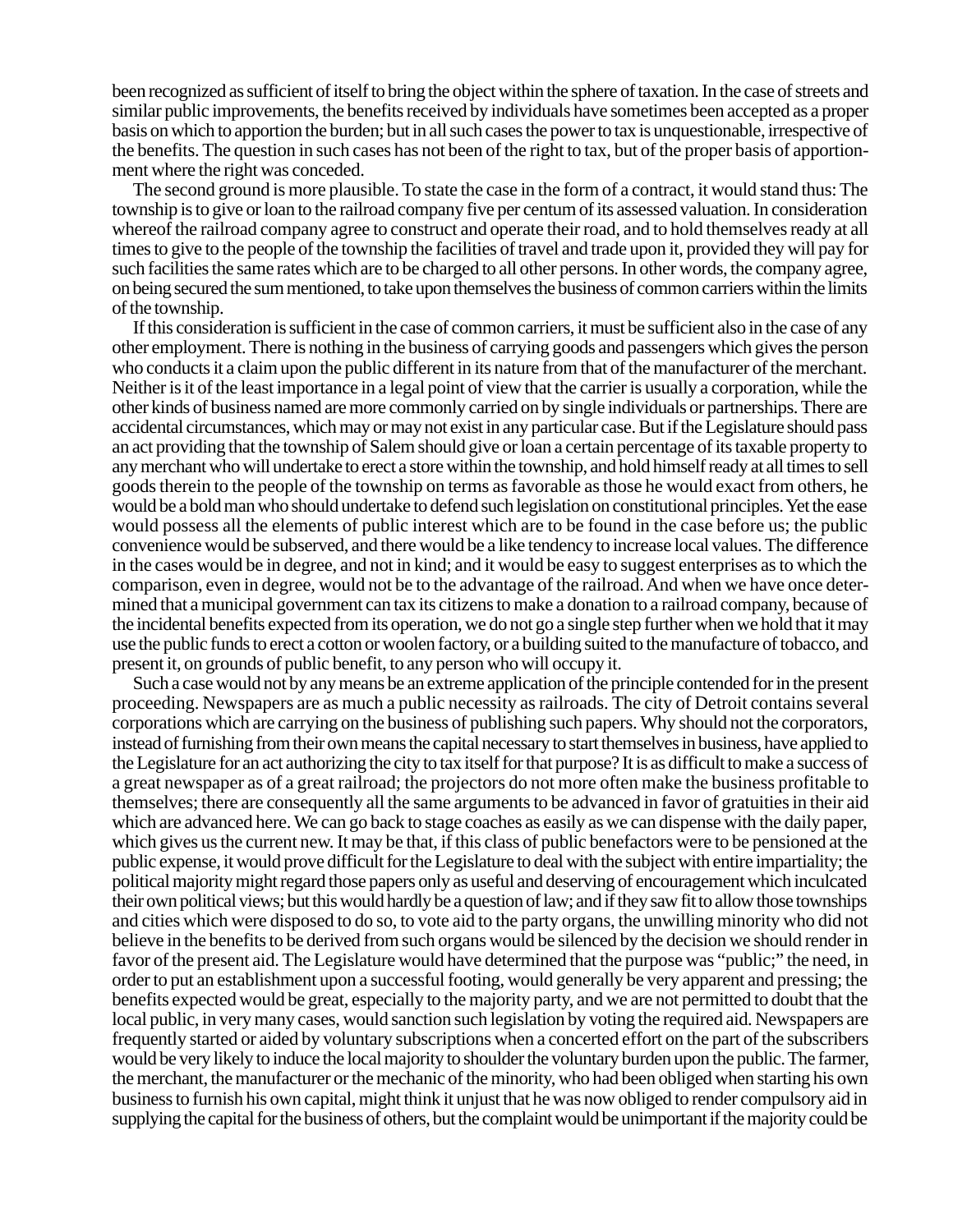been recognized as sufficient of itself to bring the object within the sphere of taxation. In the case of streets and similar public improvements, the benefits received by individuals have sometimes been accepted as a proper basis on which to apportion the burden; but in all such cases the power to tax is unquestionable, irrespective of the benefits. The question in such cases has not been of the right to tax, but of the proper basis of apportionment where the right was conceded.

The second ground is more plausible. To state the case in the form of a contract, it would stand thus: The township is to give or loan to the railroad company five per centum of its assessed valuation. In consideration whereof the railroad company agree to construct and operate their road, and to hold themselves ready at all times to give to the people of the township the facilities of travel and trade upon it, provided they will pay for such facilities the same rates which are to be charged to all other persons. In other words, the company agree, on being secured the sum mentioned, to take upon themselves the business of common carriers within the limits of the township.

If this consideration is sufficient in the case of common carriers, it must be sufficient also in the case of any other employment. There is nothing in the business of carrying goods and passengers which gives the person who conducts it a claim upon the public different in its nature from that of the manufacturer of the merchant. Neither is it of the least importance in a legal point of view that the carrier is usually a corporation, while the other kinds of business named are more commonly carried on by single individuals or partnerships. There are accidental circumstances, which may or may not exist in any particular case. But if the Legislature should pass an act providing that the township of Salem should give or loan a certain percentage of its taxable property to any merchant who will undertake to erect a store within the township, and hold himself ready at all times to sell goods therein to the people of the township on terms as favorable as those he would exact from others, he would be a bold man who should undertake to defend such legislation on constitutional principles. Yet the ease would possess all the elements of public interest which are to be found in the case before us; the public convenience would be subserved, and there would be a like tendency to increase local values. The difference in the cases would be in degree, and not in kind; and it would be easy to suggest enterprises as to which the comparison, even in degree, would not be to the advantage of the railroad. And when we have once determined that a municipal government can tax its citizens to make a donation to a railroad company, because of the incidental benefits expected from its operation, we do not go a single step further when we hold that it may use the public funds to erect a cotton or woolen factory, or a building suited to the manufacture of tobacco, and present it, on grounds of public benefit, to any person who will occupy it.

Such a case would not by any means be an extreme application of the principle contended for in the present proceeding. Newspapers are as much a public necessity as railroads. The city of Detroit contains several corporations which are carrying on the business of publishing such papers. Why should not the corporators, instead of furnishing from their own means the capital necessary to start themselves in business, have applied to the Legislature for an act authorizing the city to tax itself for that purpose? It is as difficult to make a success of a great newspaper as of a great railroad; the projectors do not more often make the business profitable to themselves; there are consequently all the same arguments to be advanced in favor of gratuities in their aid which are advanced here. We can go back to stage coaches as easily as we can dispense with the daily paper, which gives us the current new. It may be that, if this class of public benefactors were to be pensioned at the public expense, it would prove difficult for the Legislature to deal with the subject with entire impartiality; the political majority might regard those papers only as useful and deserving of encouragement which inculcated their own political views; but this would hardly be a question of law; and if they saw fit to allow those townships and cities which were disposed to do so, to vote aid to the party organs, the unwilling minority who did not believe in the benefits to be derived from such organs would be silenced by the decision we should render in favor of the present aid. The Legislature would have determined that the purpose was "public;" the need, in order to put an establishment upon a successful footing, would generally be very apparent and pressing; the benefits expected would be great, especially to the majority party, and we are not permitted to doubt that the local public, in very many cases, would sanction such legislation by voting the required aid. Newspapers are frequently started or aided by voluntary subscriptions when a concerted effort on the part of the subscribers would be very likely to induce the local majority to shoulder the voluntary burden upon the public. The farmer, the merchant, the manufacturer or the mechanic of the minority, who had been obliged when starting his own business to furnish his own capital, might think it unjust that he was now obliged to render compulsory aid in supplying the capital for the business of others, but the complaint would be unimportant if the majority could be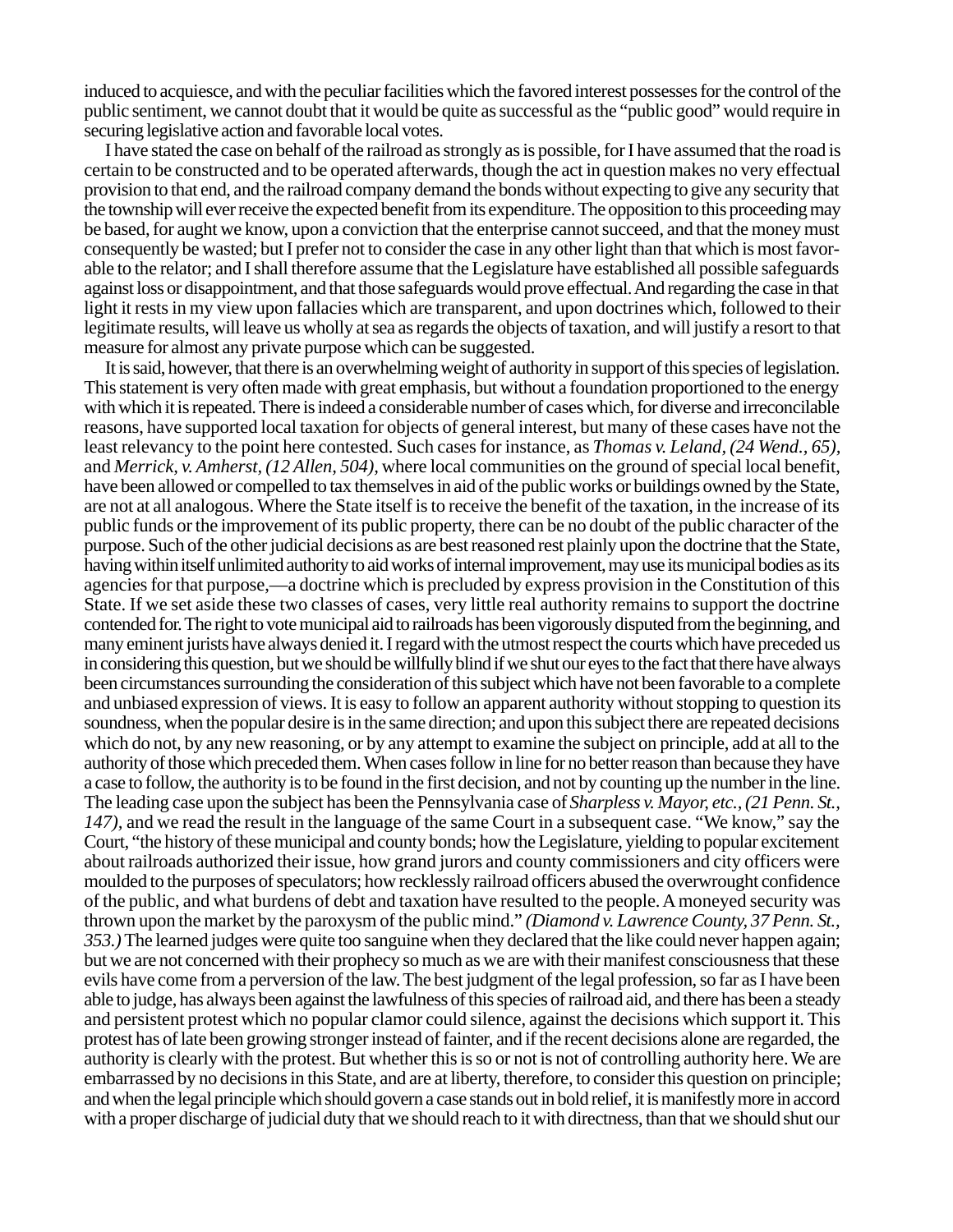induced to acquiesce, and with the peculiar facilities which the favored interest possesses for the control of the public sentiment, we cannot doubt that it would be quite as successful as the "public good" would require in securing legislative action and favorable local votes.

I have stated the case on behalf of the railroad as strongly as is possible, for I have assumed that the road is certain to be constructed and to be operated afterwards, though the act in question makes no very effectual provision to that end, and the railroad company demand the bonds without expecting to give any security that the township will ever receive the expected benefit from its expenditure. The opposition to this proceeding may be based, for aught we know, upon a conviction that the enterprise cannot succeed, and that the money must consequently be wasted; but I prefer not to consider the case in any other light than that which is most favorable to the relator; and I shall therefore assume that the Legislature have established all possible safeguards against loss or disappointment, and that those safeguards would prove effectual. And regarding the case in that light it rests in my view upon fallacies which are transparent, and upon doctrines which, followed to their legitimate results, will leave us wholly at sea as regards the objects of taxation, and will justify a resort to that measure for almost any private purpose which can be suggested.

It is said, however, that there is an overwhelming weight of authority in support of this species of legislation. This statement is very often made with great emphasis, but without a foundation proportioned to the energy with which it is repeated. There is indeed a considerable number of cases which, for diverse and irreconcilable reasons, have supported local taxation for objects of general interest, but many of these cases have not the least relevancy to the point here contested. Such cases for instance, as *Thomas v. Leland, (24 Wend., 65),* and *Merrick, v. Amherst, (12 Allen, 504),* where local communities on the ground of special local benefit, have been allowed or compelled to tax themselves in aid of the public works or buildings owned by the State, are not at all analogous. Where the State itself is to receive the benefit of the taxation, in the increase of its public funds or the improvement of its public property, there can be no doubt of the public character of the purpose. Such of the other judicial decisions as are best reasoned rest plainly upon the doctrine that the State, having within itself unlimited authority to aid works of internal improvement, may use its municipal bodies as its agencies for that purpose,—a doctrine which is precluded by express provision in the Constitution of this State. If we set aside these two classes of cases, very little real authority remains to support the doctrine contended for. The right to vote municipal aid to railroads has been vigorously disputed from the beginning, and many eminent jurists have always denied it. I regard with the utmost respect the courts which have preceded us in considering this question, but we should be willfully blind if we shut our eyes to the fact that there have always been circumstances surrounding the consideration of this subject which have not been favorable to a complete and unbiased expression of views. It is easy to follow an apparent authority without stopping to question its soundness, when the popular desire is in the same direction; and upon this subject there are repeated decisions which do not, by any new reasoning, or by any attempt to examine the subject on principle, add at all to the authority of those which preceded them. When cases follow in line for no better reason than because they have a case to follow, the authority is to be found in the first decision, and not by counting up the number in the line. The leading case upon the subject has been the Pennsylvania case of *Sharpless v. Mayor, etc., (21 Penn. St., 147),* and we read the result in the language of the same Court in a subsequent case. "We know," say the Court, "the history of these municipal and county bonds; how the Legislature, yielding to popular excitement about railroads authorized their issue, how grand jurors and county commissioners and city officers were moulded to the purposes of speculators; how recklessly railroad officers abused the overwrought confidence of the public, and what burdens of debt and taxation have resulted to the people. A moneyed security was thrown upon the market by the paroxysm of the public mind." *(Diamond v. Lawrence County, 37 Penn. St., 353.)* The learned judges were quite too sanguine when they declared that the like could never happen again; but we are not concerned with their prophecy so much as we are with their manifest consciousness that these evils have come from a perversion of the law. The best judgment of the legal profession, so far as I have been able to judge, has always been against the lawfulness of this species of railroad aid, and there has been a steady and persistent protest which no popular clamor could silence, against the decisions which support it. This protest has of late been growing stronger instead of fainter, and if the recent decisions alone are regarded, the authority is clearly with the protest. But whether this is so or not is not of controlling authority here. We are embarrassed by no decisions in this State, and are at liberty, therefore, to consider this question on principle; and when the legal principle which should govern a case stands out in bold relief, it is manifestly more in accord with a proper discharge of judicial duty that we should reach to it with directness, than that we should shut our